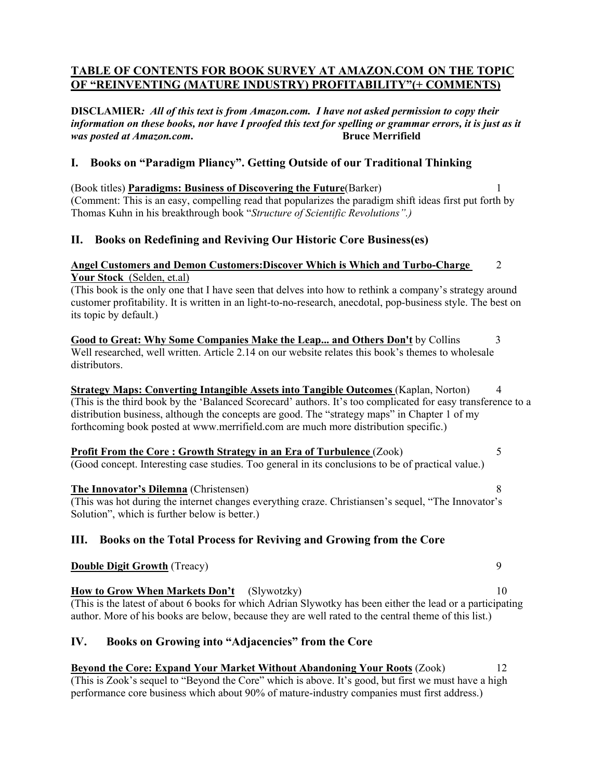# **TABLE OF CONTENTS FOR BOOK SURVEY AT AMAZON.COM ON THE TOPIC OF "REINVENTING (MATURE INDUSTRY) PROFITABILITY"(+ COMMENTS)**

**DISCLAMIER***: All of this text is from Amazon.com. I have not asked permission to copy their information on these books, nor have I proofed this text for spelling or grammar errors, it is just as it was posted at Amazon.com***. Bruce Merrifield**

# **I. Books on "Paradigm Pliancy". Getting Outside of our Traditional Thinking**

(Book titles) **Paradigms: Business of Discovering the Future**(Barker) 1 (Comment: This is an easy, compelling read that popularizes the paradigm shift ideas first put forth by Thomas Kuhn in his breakthrough book "*Structure of Scientific Revolutions".)*

# **II. Books on Redefining and Reviving Our Historic Core Business(es)**

# **Angel Customers and Demon Customers:Discover Which is Which and Turbo-Charge** 2 **Your Stock** (Selden, et.al)

(This book is the only one that I have seen that delves into how to rethink a company's strategy around customer profitability. It is written in an light-to-no-research, anecdotal, pop-business style. The best on its topic by default.)

**Good to Great: Why Some Companies Make the Leap... and Others Don't** by Collins 3 Well researched, well written. Article 2.14 on our website relates this book's themes to wholesale distributors.

**Strategy Maps: Converting Intangible Assets into Tangible Outcomes (Kaplan, Norton) 4** (This is the third book by the 'Balanced Scorecard' authors. It's too complicated for easy transference to a distribution business, although the concepts are good. The "strategy maps" in Chapter 1 of my forthcoming book posted at www.merrifield.com are much more distribution specific.)

**Profit From the Core : Growth Strategy in an Era of Turbulence** (Zook) 5 (Good concept. Interesting case studies. Too general in its conclusions to be of practical value.)

## **The Innovator's Dilemna** (Christensen) 8

(This was hot during the internet changes everything craze. Christiansen's sequel, "The Innovator's Solution", which is further below is better.)

# **III. Books on the Total Process for Reviving and Growing from the Core**

# **Double Digit Growth (Treacy)** 9

**How to Grow When Markets Don't** (Slywotzky) 10 (This is the latest of about 6 books for which Adrian Slywotky has been either the lead or a participating author. More of his books are below, because they are well rated to the central theme of this list.)

# **IV. Books on Growing into "Adjacencies" from the Core**

**Beyond the Core: Expand Your Market Without Abandoning Your Roots** (Zook) 12 (This is Zook's sequel to "Beyond the Core" which is above. It's good, but first we must have a high performance core business which about 90% of mature-industry companies must first address.)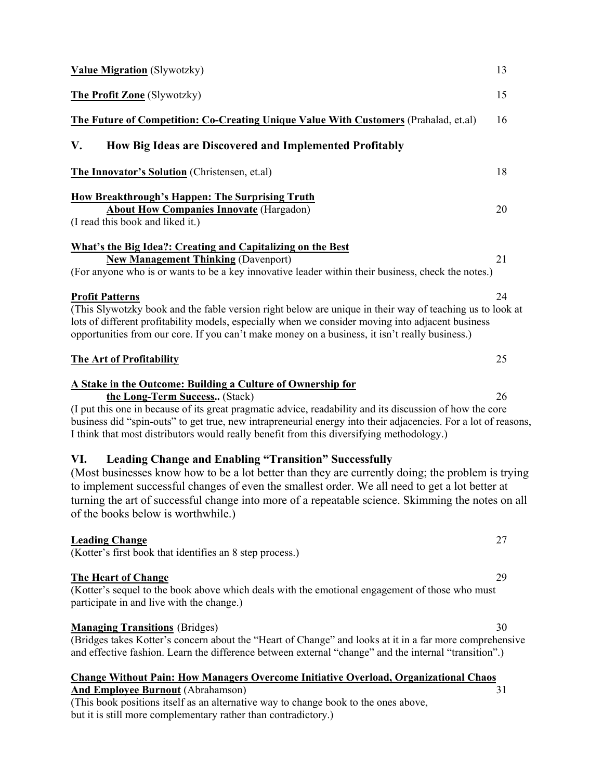| <b>Value Migration</b> (Slywotzky)                                                                                                                                                                                                                                                                                                                                                                                     | 13 |
|------------------------------------------------------------------------------------------------------------------------------------------------------------------------------------------------------------------------------------------------------------------------------------------------------------------------------------------------------------------------------------------------------------------------|----|
| The Profit Zone (Slywotzky)                                                                                                                                                                                                                                                                                                                                                                                            | 15 |
| The Future of Competition: Co-Creating Unique Value With Customers (Prahalad, et.al)                                                                                                                                                                                                                                                                                                                                   | 16 |
| How Big Ideas are Discovered and Implemented Profitably<br>V.                                                                                                                                                                                                                                                                                                                                                          |    |
| The Innovator's Solution (Christensen, et.al)                                                                                                                                                                                                                                                                                                                                                                          | 18 |
| <b>How Breakthrough's Happen: The Surprising Truth</b><br><b>About How Companies Innovate (Hargadon)</b><br>(I read this book and liked it.)                                                                                                                                                                                                                                                                           | 20 |
| What's the Big Idea?: Creating and Capitalizing on the Best<br><b>New Management Thinking (Davenport)</b><br>(For anyone who is or wants to be a key innovative leader within their business, check the notes.)                                                                                                                                                                                                        | 21 |
| <b>Profit Patterns</b><br>(This Slywotzky book and the fable version right below are unique in their way of teaching us to look at<br>lots of different profitability models, especially when we consider moving into adjacent business<br>opportunities from our core. If you can't make money on a business, it isn't really business.)                                                                              | 24 |
| <b>The Art of Profitability</b>                                                                                                                                                                                                                                                                                                                                                                                        | 25 |
| A Stake in the Outcome: Building a Culture of Ownership for<br>the Long-Term Success (Stack)<br>(I put this one in because of its great pragmatic advice, readability and its discussion of how the core<br>business did "spin-outs" to get true, new intrapreneurial energy into their adjacencies. For a lot of reasons,<br>I think that most distributors would really benefit from this diversifying methodology.) | 26 |
| <b>Leading Change and Enabling "Transition" Successfully</b><br>VI.<br>(Most businesses know how to be a lot better than they are currently doing; the problem is trying<br>to implement successful changes of even the smallest order. We all need to get a lot better at<br>turning the art of successful change into more of a repeatable science. Skimming the notes on all<br>of the books below is worthwhile.)  |    |
| <b>Leading Change</b><br>(Kotter's first book that identifies an 8 step process.)                                                                                                                                                                                                                                                                                                                                      | 27 |
| <b>The Heart of Change</b><br>(Kotter's sequel to the book above which deals with the emotional engagement of those who must<br>participate in and live with the change.)                                                                                                                                                                                                                                              | 29 |
| <b>Managing Transitions</b> (Bridges)<br>(Bridges takes Kotter's concern about the "Heart of Change" and looks at it in a far more comprehensive<br>and effective fashion. Learn the difference between external "change" and the internal "transition".)                                                                                                                                                              | 30 |
| <b>Change Without Pain: How Managers Overcome Initiative Overload, Organizational Chaos</b><br><b>And Employee Burnout</b> (Abrahamson)                                                                                                                                                                                                                                                                                | 31 |

(This book positions itself as an alternative way to change book to the ones above, but it is still more complementary rather than contradictory.)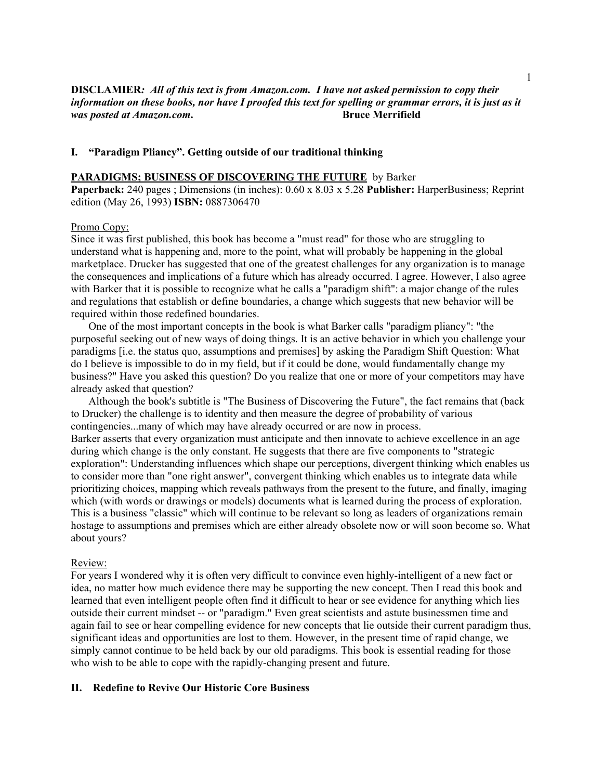# **DISCLAMIER***: All of this text is from Amazon.com. I have not asked permission to copy their information on these books, nor have I proofed this text for spelling or grammar errors, it is just as it was posted at Amazon.com.*

### **I. "Paradigm Pliancy". Getting outside of our traditional thinking**

#### **PARADIGMS; BUSINESS OF DISCOVERING THE FUTURE** by Barker

**Paperback:** 240 pages ; Dimensions (in inches): 0.60 x 8.03 x 5.28 **Publisher:** HarperBusiness; Reprint edition (May 26, 1993) **ISBN:** 0887306470

### Promo Copy:

Since it was first published, this book has become a "must read" for those who are struggling to understand what is happening and, more to the point, what will probably be happening in the global marketplace. Drucker has suggested that one of the greatest challenges for any organization is to manage the consequences and implications of a future which has already occurred. I agree. However, I also agree with Barker that it is possible to recognize what he calls a "paradigm shift": a major change of the rules and regulations that establish or define boundaries, a change which suggests that new behavior will be required within those redefined boundaries.

One of the most important concepts in the book is what Barker calls "paradigm pliancy": "the purposeful seeking out of new ways of doing things. It is an active behavior in which you challenge your paradigms [i.e. the status quo, assumptions and premises] by asking the Paradigm Shift Question: What do I believe is impossible to do in my field, but if it could be done, would fundamentally change my business?" Have you asked this question? Do you realize that one or more of your competitors may have already asked that question?

Although the book's subtitle is "The Business of Discovering the Future", the fact remains that (back to Drucker) the challenge is to identity and then measure the degree of probability of various contingencies...many of which may have already occurred or are now in process. Barker asserts that every organization must anticipate and then innovate to achieve excellence in an age during which change is the only constant. He suggests that there are five components to "strategic exploration": Understanding influences which shape our perceptions, divergent thinking which enables us to consider more than "one right answer", convergent thinking which enables us to integrate data while prioritizing choices, mapping which reveals pathways from the present to the future, and finally, imaging which (with words or drawings or models) documents what is learned during the process of exploration. This is a business "classic" which will continue to be relevant so long as leaders of organizations remain hostage to assumptions and premises which are either already obsolete now or will soon become so. What about yours?

#### Review:

For years I wondered why it is often very difficult to convince even highly-intelligent of a new fact or idea, no matter how much evidence there may be supporting the new concept. Then I read this book and learned that even intelligent people often find it difficult to hear or see evidence for anything which lies outside their current mindset -- or "paradigm." Even great scientists and astute businessmen time and again fail to see or hear compelling evidence for new concepts that lie outside their current paradigm thus, significant ideas and opportunities are lost to them. However, in the present time of rapid change, we simply cannot continue to be held back by our old paradigms. This book is essential reading for those who wish to be able to cope with the rapidly-changing present and future.

### **II. Redefine to Revive Our Historic Core Business**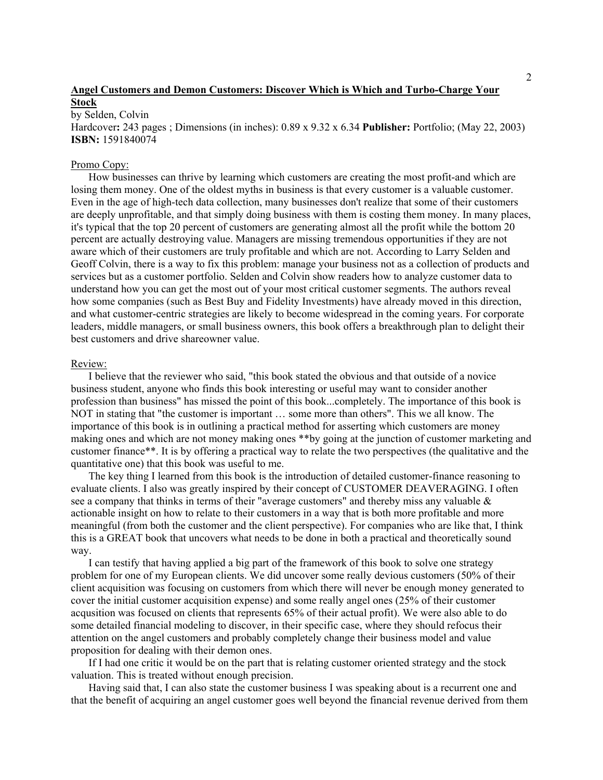# **Angel Customers and Demon Customers: Discover Which is Which and Turbo-Charge Your Stock**

by Selden, Colvin

Hardcover**:** 243 pages ; Dimensions (in inches): 0.89 x 9.32 x 6.34 **Publisher:** Portfolio; (May 22, 2003) **ISBN:** 1591840074

#### Promo Copy:

How businesses can thrive by learning which customers are creating the most profit-and which are losing them money. One of the oldest myths in business is that every customer is a valuable customer. Even in the age of high-tech data collection, many businesses don't realize that some of their customers are deeply unprofitable, and that simply doing business with them is costing them money. In many places, it's typical that the top 20 percent of customers are generating almost all the profit while the bottom 20 percent are actually destroying value. Managers are missing tremendous opportunities if they are not aware which of their customers are truly profitable and which are not. According to Larry Selden and Geoff Colvin, there is a way to fix this problem: manage your business not as a collection of products and services but as a customer portfolio. Selden and Colvin show readers how to analyze customer data to understand how you can get the most out of your most critical customer segments. The authors reveal how some companies (such as Best Buy and Fidelity Investments) have already moved in this direction, and what customer-centric strategies are likely to become widespread in the coming years. For corporate leaders, middle managers, or small business owners, this book offers a breakthrough plan to delight their best customers and drive shareowner value.

#### Review:

I believe that the reviewer who said, "this book stated the obvious and that outside of a novice business student, anyone who finds this book interesting or useful may want to consider another profession than business" has missed the point of this book...completely. The importance of this book is NOT in stating that "the customer is important … some more than others". This we all know. The importance of this book is in outlining a practical method for asserting which customers are money making ones and which are not money making ones \*\*by going at the junction of customer marketing and customer finance\*\*. It is by offering a practical way to relate the two perspectives (the qualitative and the quantitative one) that this book was useful to me.

The key thing I learned from this book is the introduction of detailed customer-finance reasoning to evaluate clients. I also was greatly inspired by their concept of CUSTOMER DEAVERAGING. I often see a company that thinks in terms of their "average customers" and thereby miss any valuable  $\&$ actionable insight on how to relate to their customers in a way that is both more profitable and more meaningful (from both the customer and the client perspective). For companies who are like that, I think this is a GREAT book that uncovers what needs to be done in both a practical and theoretically sound way.

I can testify that having applied a big part of the framework of this book to solve one strategy problem for one of my European clients. We did uncover some really devious customers (50% of their client acquisition was focusing on customers from which there will never be enough money generated to cover the initial customer acquisition expense) and some really angel ones (25% of their customer acqusition was focused on clients that represents 65% of their actual profit). We were also able to do some detailed financial modeling to discover, in their specific case, where they should refocus their attention on the angel customers and probably completely change their business model and value proposition for dealing with their demon ones.

If I had one critic it would be on the part that is relating customer oriented strategy and the stock valuation. This is treated without enough precision.

Having said that, I can also state the customer business I was speaking about is a recurrent one and that the benefit of acquiring an angel customer goes well beyond the financial revenue derived from them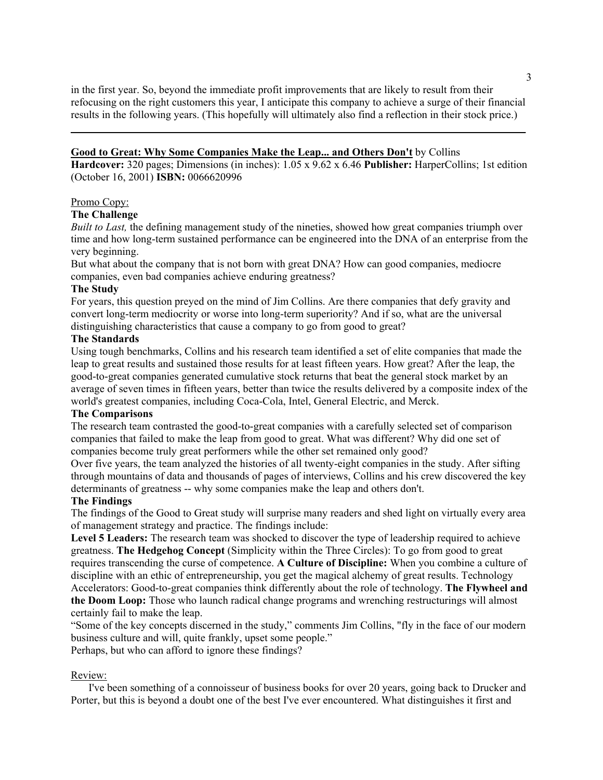in the first year. So, beyond the immediate profit improvements that are likely to result from their refocusing on the right customers this year, I anticipate this company to achieve a surge of their financial results in the following years. (This hopefully will ultimately also find a reflection in their stock price.)

**\_\_\_\_\_\_\_\_\_\_\_\_\_\_\_\_\_\_\_\_\_\_\_\_\_\_\_\_\_\_\_\_\_\_\_\_\_\_\_\_\_\_\_\_\_\_\_\_\_\_\_\_\_\_\_\_\_\_\_\_\_\_\_\_\_\_\_\_\_\_\_\_\_\_\_\_\_\_\_\_\_\_\_\_**

## **Good to Great: Why Some Companies Make the Leap... and Others Don't** by Collins

**Hardcover:** 320 pages; Dimensions (in inches): 1.05 x 9.62 x 6.46 **Publisher:** HarperCollins; 1st edition (October 16, 2001) **ISBN:** 0066620996

### Promo Copy:

### **The Challenge**

*Built to Last,* the defining management study of the nineties, showed how great companies triumph over time and how long-term sustained performance can be engineered into the DNA of an enterprise from the very beginning.

But what about the company that is not born with great DNA? How can good companies, mediocre companies, even bad companies achieve enduring greatness?

### **The Study**

For years, this question preyed on the mind of Jim Collins. Are there companies that defy gravity and convert long-term mediocrity or worse into long-term superiority? And if so, what are the universal distinguishing characteristics that cause a company to go from good to great?

### **The Standards**

Using tough benchmarks, Collins and his research team identified a set of elite companies that made the leap to great results and sustained those results for at least fifteen years. How great? After the leap, the good-to-great companies generated cumulative stock returns that beat the general stock market by an average of seven times in fifteen years, better than twice the results delivered by a composite index of the world's greatest companies, including Coca-Cola, Intel, General Electric, and Merck.

#### **The Comparisons**

The research team contrasted the good-to-great companies with a carefully selected set of comparison companies that failed to make the leap from good to great. What was different? Why did one set of companies become truly great performers while the other set remained only good?

Over five years, the team analyzed the histories of all twenty-eight companies in the study. After sifting through mountains of data and thousands of pages of interviews, Collins and his crew discovered the key determinants of greatness -- why some companies make the leap and others don't.

### **The Findings**

The findings of the Good to Great study will surprise many readers and shed light on virtually every area of management strategy and practice. The findings include:

**Level 5 Leaders:** The research team was shocked to discover the type of leadership required to achieve greatness. **The Hedgehog Concept** (Simplicity within the Three Circles): To go from good to great requires transcending the curse of competence. **A Culture of Discipline:** When you combine a culture of discipline with an ethic of entrepreneurship, you get the magical alchemy of great results. Technology Accelerators: Good-to-great companies think differently about the role of technology. **The Flywheel and the Doom Loop:** Those who launch radical change programs and wrenching restructurings will almost certainly fail to make the leap.

"Some of the key concepts discerned in the study," comments Jim Collins, "fly in the face of our modern business culture and will, quite frankly, upset some people."

Perhaps, but who can afford to ignore these findings?

### Review:

I've been something of a connoisseur of business books for over 20 years, going back to Drucker and Porter, but this is beyond a doubt one of the best I've ever encountered. What distinguishes it first and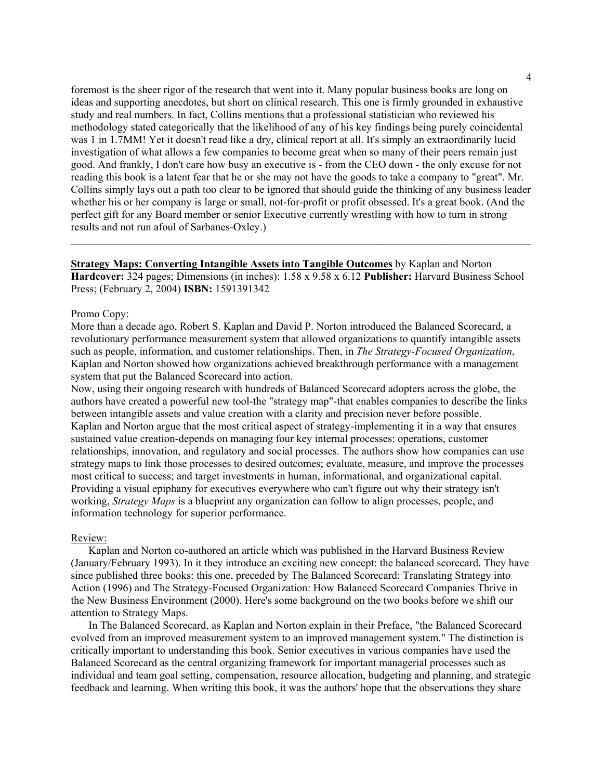foremost is the sheer rigor of the research that went into it. Many popular business books are long on ideas and supporting anecdotes, but short on clinical research. This one is firmly grounded in exhaustive study and real numbers. In fact, Collins mentions that a professional statistician who reviewed his methodology stated categorically that the likelihood of any of his key findings being purely coincidental was 1 in 1.7MM! Yet it doesn't read like a dry, clinical report at all. It's simply an extraordinarily lucid investigation of what allows a few companies to become great when so many of their peers remain just good. And frankly, I don't care how busy an executive is - from the CEO down - the only excuse for not reading this book is a latent fear that he or she may not have the goods to take a company to "great". Mr. Collins simply lays out a path too clear to be ignored that should guide the thinking of any business leader whether his or her company is large or small, not-for-profit or profit obsessed. It's a great book. (And the perfect gift for any Board member or senior Executive currently wrestling with how to turn in strong results and not run afoul of Sarbanes-Oxley.)

**Strategy Maps: Converting Intangible Assets into Tangible Outcomes** by Kaplan and Norton **Hardcover:** 324 pages; Dimensions (in inches): 1.58 x 9.58 x 6.12 **Publisher:** Harvard Business School Press; (February 2, 2004) **ISBN:** 1591391342

 $\mathcal{L}_\mathcal{L} = \mathcal{L}_\mathcal{L} = \mathcal{L}_\mathcal{L} = \mathcal{L}_\mathcal{L} = \mathcal{L}_\mathcal{L} = \mathcal{L}_\mathcal{L} = \mathcal{L}_\mathcal{L} = \mathcal{L}_\mathcal{L} = \mathcal{L}_\mathcal{L} = \mathcal{L}_\mathcal{L} = \mathcal{L}_\mathcal{L} = \mathcal{L}_\mathcal{L} = \mathcal{L}_\mathcal{L} = \mathcal{L}_\mathcal{L} = \mathcal{L}_\mathcal{L} = \mathcal{L}_\mathcal{L} = \mathcal{L}_\mathcal{L}$ 

#### Promo Copy:

More than a decade ago, Robert S. Kaplan and David P. Norton introduced the Balanced Scorecard, a revolutionary performance measurement system that allowed organizations to quantify intangible assets such as people, information, and customer relationships. Then, in *The Strategy-Focused Organization*, Kaplan and Norton showed how organizations achieved breakthrough performance with a management system that put the Balanced Scorecard into action.

Now, using their ongoing research with hundreds of Balanced Scorecard adopters across the globe, the authors have created a powerful new tool-the "strategy map"-that enables companies to describe the links between intangible assets and value creation with a clarity and precision never before possible. Kaplan and Norton argue that the most critical aspect of strategy-implementing it in a way that ensures sustained value creation-depends on managing four key internal processes: operations, customer relationships, innovation, and regulatory and social processes. The authors show how companies can use strategy maps to link those processes to desired outcomes; evaluate, measure, and improve the processes most critical to success; and target investments in human, informational, and organizational capital. Providing a visual epiphany for executives everywhere who can't figure out why their strategy isn't working, *Strategy Maps* is a blueprint any organization can follow to align processes, people, and information technology for superior performance.

#### Review:

Kaplan and Norton co-authored an article which was published in the Harvard Business Review (January/February 1993). In it they introduce an exciting new concept: the balanced scorecard. They have since published three books: this one, preceded by The Balanced Scorecard: Translating Strategy into Action (1996) and The Strategy-Focused Organization: How Balanced Scorecard Companies Thrive in the New Business Environment (2000). Here's some background on the two books before we shift our attention to Strategy Maps.

In The Balanced Scorecard, as Kaplan and Norton explain in their Preface, "the Balanced Scorecard evolved from an improved measurement system to an improved management system." The distinction is critically important to understanding this book. Senior executives in various companies have used the Balanced Scorecard as the central organizing framework for important managerial processes such as individual and team goal setting, compensation, resource allocation, budgeting and planning, and strategic feedback and learning. When writing this book, it was the authors' hope that the observations they share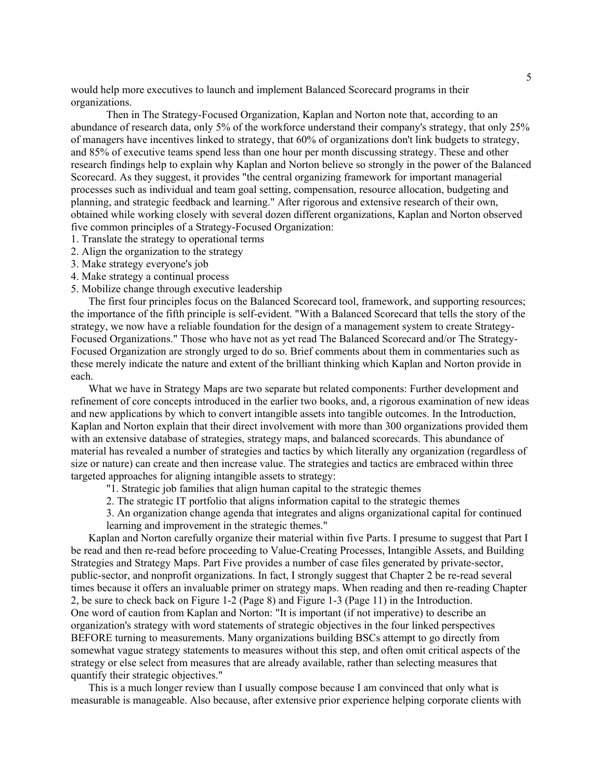would help more executives to launch and implement Balanced Scorecard programs in their organizations.

Then in The Strategy-Focused Organization, Kaplan and Norton note that, according to an abundance of research data, only 5% of the workforce understand their company's strategy, that only 25% of managers have incentives linked to strategy, that 60% of organizations don't link budgets to strategy, and 85% of executive teams spend less than one hour per month discussing strategy. These and other research findings help to explain why Kaplan and Norton believe so strongly in the power of the Balanced Scorecard. As they suggest, it provides "the central organizing framework for important managerial processes such as individual and team goal setting, compensation, resource allocation, budgeting and planning, and strategic feedback and learning." After rigorous and extensive research of their own, obtained while working closely with several dozen different organizations, Kaplan and Norton observed five common principles of a Strategy-Focused Organization:

- 1. Translate the strategy to operational terms
- 2. Align the organization to the strategy
- 3. Make strategy everyone's job
- 4. Make strategy a continual process
- 5. Mobilize change through executive leadership

The first four principles focus on the Balanced Scorecard tool, framework, and supporting resources; the importance of the fifth principle is self-evident. "With a Balanced Scorecard that tells the story of the strategy, we now have a reliable foundation for the design of a management system to create Strategy-Focused Organizations." Those who have not as yet read The Balanced Scorecard and/or The Strategy-Focused Organization are strongly urged to do so. Brief comments about them in commentaries such as these merely indicate the nature and extent of the brilliant thinking which Kaplan and Norton provide in each.

What we have in Strategy Maps are two separate but related components: Further development and refinement of core concepts introduced in the earlier two books, and, a rigorous examination of new ideas and new applications by which to convert intangible assets into tangible outcomes. In the Introduction, Kaplan and Norton explain that their direct involvement with more than 300 organizations provided them with an extensive database of strategies, strategy maps, and balanced scorecards. This abundance of material has revealed a number of strategies and tactics by which literally any organization (regardless of size or nature) can create and then increase value. The strategies and tactics are embraced within three targeted approaches for aligning intangible assets to strategy:

- "1. Strategic job families that align human capital to the strategic themes
- 2. The strategic IT portfolio that aligns information capital to the strategic themes
- 3. An organization change agenda that integrates and aligns organizational capital for continued learning and improvement in the strategic themes."

Kaplan and Norton carefully organize their material within five Parts. I presume to suggest that Part I be read and then re-read before proceeding to Value-Creating Processes, Intangible Assets, and Building Strategies and Strategy Maps. Part Five provides a number of case files generated by private-sector, public-sector, and nonprofit organizations. In fact, I strongly suggest that Chapter 2 be re-read several times because it offers an invaluable primer on strategy maps. When reading and then re-reading Chapter 2, be sure to check back on Figure 1-2 (Page 8) and Figure 1-3 (Page 11) in the Introduction. One word of caution from Kaplan and Norton: "It is important (if not imperative) to describe an organization's strategy with word statements of strategic objectives in the four linked perspectives BEFORE turning to measurements. Many organizations building BSCs attempt to go directly from somewhat vague strategy statements to measures without this step, and often omit critical aspects of the strategy or else select from measures that are already available, rather than selecting measures that quantify their strategic objectives."

This is a much longer review than I usually compose because I am convinced that only what is measurable is manageable. Also because, after extensive prior experience helping corporate clients with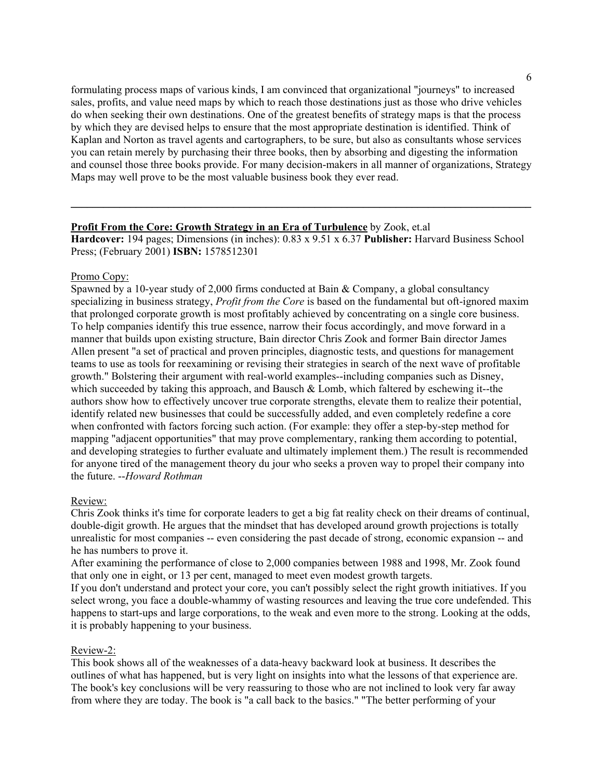formulating process maps of various kinds, I am convinced that organizational "journeys" to increased sales, profits, and value need maps by which to reach those destinations just as those who drive vehicles do when seeking their own destinations. One of the greatest benefits of strategy maps is that the process by which they are devised helps to ensure that the most appropriate destination is identified. Think of Kaplan and Norton as travel agents and cartographers, to be sure, but also as consultants whose services you can retain merely by purchasing their three books, then by absorbing and digesting the information and counsel those three books provide. For many decision-makers in all manner of organizations, Strategy Maps may well prove to be the most valuable business book they ever read.

### **Profit From the Core: Growth Strategy in an Era of Turbulence** by Zook, et.al

**Hardcover:** 194 pages; Dimensions (in inches): 0.83 x 9.51 x 6.37 **Publisher:** Harvard Business School Press; (February 2001) **ISBN:** 1578512301

**\_\_\_\_\_\_\_\_\_\_\_\_\_\_\_\_\_\_\_\_\_\_\_\_\_\_\_\_\_\_\_\_\_\_\_\_\_\_\_\_\_\_\_\_\_\_\_\_\_\_\_\_\_\_\_\_\_\_\_\_\_\_\_\_\_\_\_\_\_\_\_\_\_\_\_\_\_\_\_\_\_\_\_\_\_**

### Promo Copy:

Spawned by a 10-year study of 2,000 firms conducted at Bain & Company, a global consultancy specializing in business strategy, *Profit from the Core* is based on the fundamental but oft-ignored maxim that prolonged corporate growth is most profitably achieved by concentrating on a single core business. To help companies identify this true essence, narrow their focus accordingly, and move forward in a manner that builds upon existing structure, Bain director Chris Zook and former Bain director James Allen present "a set of practical and proven principles, diagnostic tests, and questions for management teams to use as tools for reexamining or revising their strategies in search of the next wave of profitable growth." Bolstering their argument with real-world examples--including companies such as Disney, which succeeded by taking this approach, and Bausch & Lomb, which faltered by eschewing it--the authors show how to effectively uncover true corporate strengths, elevate them to realize their potential, identify related new businesses that could be successfully added, and even completely redefine a core when confronted with factors forcing such action. (For example: they offer a step-by-step method for mapping "adjacent opportunities" that may prove complementary, ranking them according to potential, and developing strategies to further evaluate and ultimately implement them.) The result is recommended for anyone tired of the management theory du jour who seeks a proven way to propel their company into the future. --*Howard Rothman*

### Review:

Chris Zook thinks it's time for corporate leaders to get a big fat reality check on their dreams of continual, double-digit growth. He argues that the mindset that has developed around growth projections is totally unrealistic for most companies -- even considering the past decade of strong, economic expansion -- and he has numbers to prove it.

After examining the performance of close to 2,000 companies between 1988 and 1998, Mr. Zook found that only one in eight, or 13 per cent, managed to meet even modest growth targets.

If you don't understand and protect your core, you can't possibly select the right growth initiatives. If you select wrong, you face a double-whammy of wasting resources and leaving the true core undefended. This happens to start-ups and large corporations, to the weak and even more to the strong. Looking at the odds, it is probably happening to your business.

### Review-2:

This book shows all of the weaknesses of a data-heavy backward look at business. It describes the outlines of what has happened, but is very light on insights into what the lessons of that experience are. The book's key conclusions will be very reassuring to those who are not inclined to look very far away from where they are today. The book is "a call back to the basics." "The better performing of your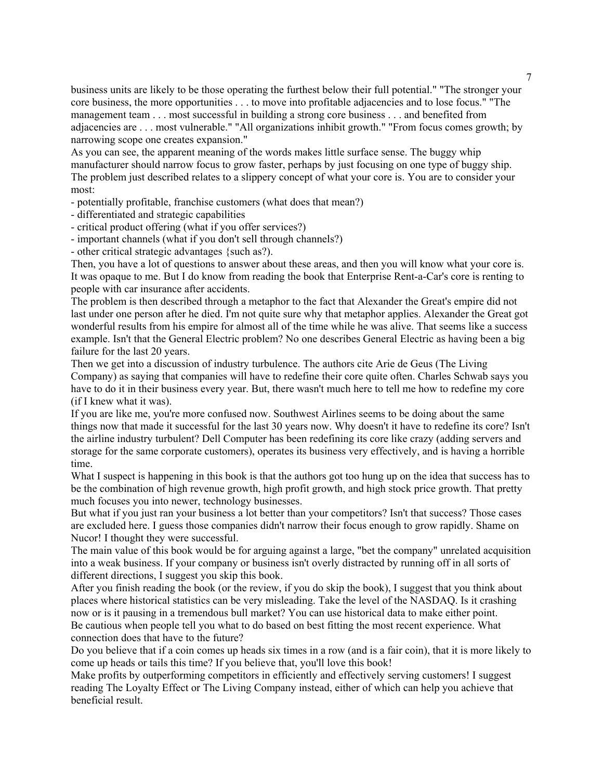business units are likely to be those operating the furthest below their full potential." "The stronger your core business, the more opportunities . . . to move into profitable adjacencies and to lose focus." "The management team . . . most successful in building a strong core business . . . and benefited from adjacencies are . . . most vulnerable." "All organizations inhibit growth." "From focus comes growth; by narrowing scope one creates expansion."

As you can see, the apparent meaning of the words makes little surface sense. The buggy whip manufacturer should narrow focus to grow faster, perhaps by just focusing on one type of buggy ship. The problem just described relates to a slippery concept of what your core is. You are to consider your most:

- potentially profitable, franchise customers (what does that mean?)

- differentiated and strategic capabilities

- critical product offering (what if you offer services?)

- important channels (what if you don't sell through channels?)

- other critical strategic advantages {such as?).

Then, you have a lot of questions to answer about these areas, and then you will know what your core is. It was opaque to me. But I do know from reading the book that Enterprise Rent-a-Car's core is renting to people with car insurance after accidents.

The problem is then described through a metaphor to the fact that Alexander the Great's empire did not last under one person after he died. I'm not quite sure why that metaphor applies. Alexander the Great got wonderful results from his empire for almost all of the time while he was alive. That seems like a success example. Isn't that the General Electric problem? No one describes General Electric as having been a big failure for the last 20 years.

Then we get into a discussion of industry turbulence. The authors cite Arie de Geus (The Living Company) as saying that companies will have to redefine their core quite often. Charles Schwab says you have to do it in their business every year. But, there wasn't much here to tell me how to redefine my core (if I knew what it was).

If you are like me, you're more confused now. Southwest Airlines seems to be doing about the same things now that made it successful for the last 30 years now. Why doesn't it have to redefine its core? Isn't the airline industry turbulent? Dell Computer has been redefining its core like crazy (adding servers and storage for the same corporate customers), operates its business very effectively, and is having a horrible time.

What I suspect is happening in this book is that the authors got too hung up on the idea that success has to be the combination of high revenue growth, high profit growth, and high stock price growth. That pretty much focuses you into newer, technology businesses.

But what if you just ran your business a lot better than your competitors? Isn't that success? Those cases are excluded here. I guess those companies didn't narrow their focus enough to grow rapidly. Shame on Nucor! I thought they were successful.

The main value of this book would be for arguing against a large, "bet the company" unrelated acquisition into a weak business. If your company or business isn't overly distracted by running off in all sorts of different directions, I suggest you skip this book.

After you finish reading the book (or the review, if you do skip the book), I suggest that you think about places where historical statistics can be very misleading. Take the level of the NASDAQ. Is it crashing now or is it pausing in a tremendous bull market? You can use historical data to make either point. Be cautious when people tell you what to do based on best fitting the most recent experience. What connection does that have to the future?

Do you believe that if a coin comes up heads six times in a row (and is a fair coin), that it is more likely to come up heads or tails this time? If you believe that, you'll love this book!

Make profits by outperforming competitors in efficiently and effectively serving customers! I suggest reading The Loyalty Effect or The Living Company instead, either of which can help you achieve that beneficial result.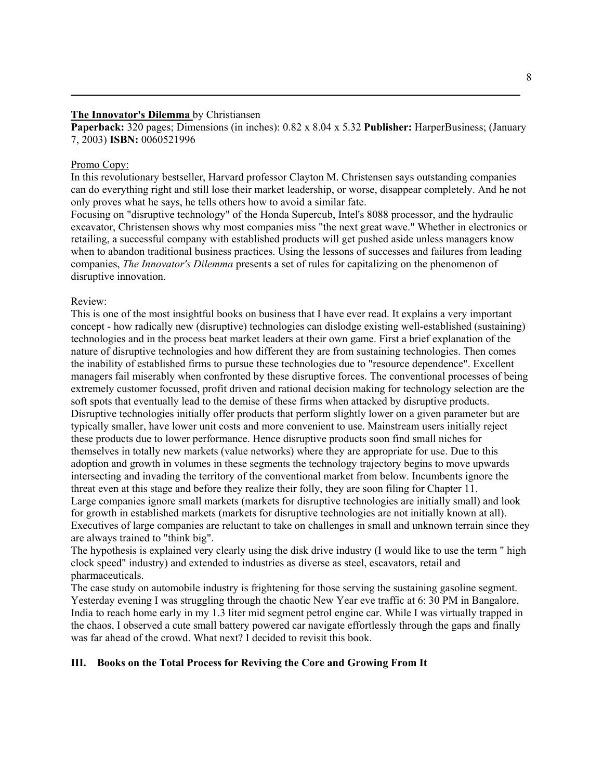### **The Innovator's Dilemma** by Christiansen

**Paperback:** 320 pages; Dimensions (in inches): 0.82 x 8.04 x 5.32 **Publisher:** HarperBusiness; (January 7, 2003) **ISBN:** 0060521996

**\_\_\_\_\_\_\_\_\_\_\_\_\_\_\_\_\_\_\_\_\_\_\_\_\_\_\_\_\_\_\_\_\_\_\_\_\_\_\_\_\_\_\_\_\_\_\_\_\_\_\_\_\_\_\_\_\_\_\_\_\_\_\_\_\_\_\_\_\_\_\_\_\_\_\_\_\_\_\_\_\_\_\_**

#### Promo Copy:

In this revolutionary bestseller, Harvard professor Clayton M. Christensen says outstanding companies can do everything right and still lose their market leadership, or worse, disappear completely. And he not only proves what he says, he tells others how to avoid a similar fate.

Focusing on "disruptive technology" of the Honda Supercub, Intel's 8088 processor, and the hydraulic excavator, Christensen shows why most companies miss "the next great wave." Whether in electronics or retailing, a successful company with established products will get pushed aside unless managers know when to abandon traditional business practices. Using the lessons of successes and failures from leading companies, *The Innovator's Dilemma* presents a set of rules for capitalizing on the phenomenon of disruptive innovation.

#### Review:

This is one of the most insightful books on business that I have ever read. It explains a very important concept - how radically new (disruptive) technologies can dislodge existing well-established (sustaining) technologies and in the process beat market leaders at their own game. First a brief explanation of the nature of disruptive technologies and how different they are from sustaining technologies. Then comes the inability of established firms to pursue these technologies due to "resource dependence". Excellent managers fail miserably when confronted by these disruptive forces. The conventional processes of being extremely customer focussed, profit driven and rational decision making for technology selection are the soft spots that eventually lead to the demise of these firms when attacked by disruptive products. Disruptive technologies initially offer products that perform slightly lower on a given parameter but are typically smaller, have lower unit costs and more convenient to use. Mainstream users initially reject these products due to lower performance. Hence disruptive products soon find small niches for themselves in totally new markets (value networks) where they are appropriate for use. Due to this adoption and growth in volumes in these segments the technology trajectory begins to move upwards intersecting and invading the territory of the conventional market from below. Incumbents ignore the threat even at this stage and before they realize their folly, they are soon filing for Chapter 11. Large companies ignore small markets (markets for disruptive technologies are initially small) and look for growth in established markets (markets for disruptive technologies are not initially known at all). Executives of large companies are reluctant to take on challenges in small and unknown terrain since they are always trained to "think big".

The hypothesis is explained very clearly using the disk drive industry (I would like to use the term " high clock speed" industry) and extended to industries as diverse as steel, escavators, retail and pharmaceuticals.

The case study on automobile industry is frightening for those serving the sustaining gasoline segment. Yesterday evening I was struggling through the chaotic New Year eve traffic at 6: 30 PM in Bangalore, India to reach home early in my 1.3 liter mid segment petrol engine car. While I was virtually trapped in the chaos, I observed a cute small battery powered car navigate effortlessly through the gaps and finally was far ahead of the crowd. What next? I decided to revisit this book.

### **III. Books on the Total Process for Reviving the Core and Growing From It**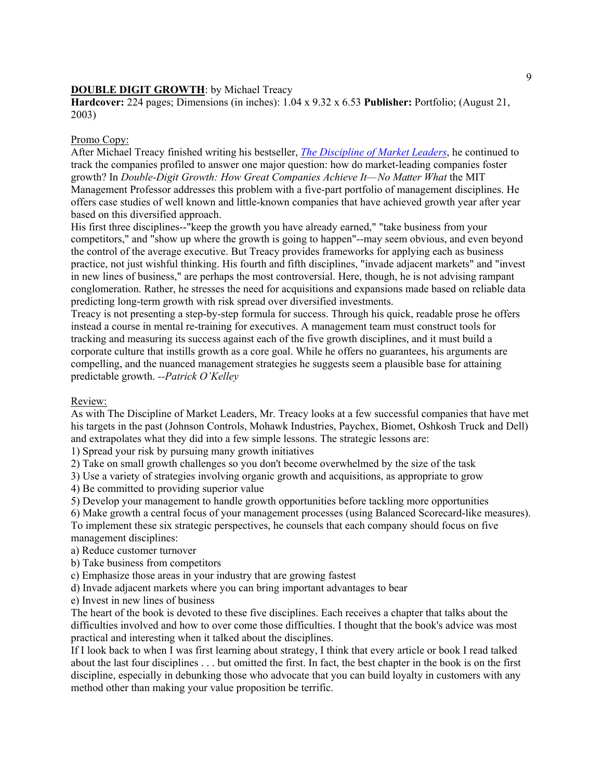# **DOUBLE DIGIT GROWTH**: by Michael Treacy

**Hardcover:** 224 pages; Dimensions (in inches): 1.04 x 9.32 x 6.53 **Publisher:** Portfolio; (August 21, 2003)

### Promo Copy:

After Michael Treacy finished writing his bestseller, *The Discipline of Market Leaders*, he continued to track the companies profiled to answer one major question: how do market-leading companies foster growth? In *Double-Digit Growth: How Great Companies Achieve It—No Matter What* the MIT Management Professor addresses this problem with a five-part portfolio of management disciplines. He offers case studies of well known and little-known companies that have achieved growth year after year based on this diversified approach.

His first three disciplines--"keep the growth you have already earned," "take business from your competitors," and "show up where the growth is going to happen"--may seem obvious, and even beyond the control of the average executive. But Treacy provides frameworks for applying each as business practice, not just wishful thinking. His fourth and fifth disciplines, "invade adjacent markets" and "invest in new lines of business," are perhaps the most controversial. Here, though, he is not advising rampant conglomeration. Rather, he stresses the need for acquisitions and expansions made based on reliable data predicting long-term growth with risk spread over diversified investments.

Treacy is not presenting a step-by-step formula for success. Through his quick, readable prose he offers instead a course in mental re-training for executives. A management team must construct tools for tracking and measuring its success against each of the five growth disciplines, and it must build a corporate culture that instills growth as a core goal. While he offers no guarantees, his arguments are compelling, and the nuanced management strategies he suggests seem a plausible base for attaining predictable growth. *--Patrick O'Kelley*

### Review:

As with The Discipline of Market Leaders, Mr. Treacy looks at a few successful companies that have met his targets in the past (Johnson Controls, Mohawk Industries, Paychex, Biomet, Oshkosh Truck and Dell) and extrapolates what they did into a few simple lessons. The strategic lessons are:

1) Spread your risk by pursuing many growth initiatives

2) Take on small growth challenges so you don't become overwhelmed by the size of the task

3) Use a variety of strategies involving organic growth and acquisitions, as appropriate to grow

4) Be committed to providing superior value

5) Develop your management to handle growth opportunities before tackling more opportunities

6) Make growth a central focus of your management processes (using Balanced Scorecard-like measures).

To implement these six strategic perspectives, he counsels that each company should focus on five management disciplines:

a) Reduce customer turnover

b) Take business from competitors

c) Emphasize those areas in your industry that are growing fastest

d) Invade adjacent markets where you can bring important advantages to bear

e) Invest in new lines of business

The heart of the book is devoted to these five disciplines. Each receives a chapter that talks about the difficulties involved and how to over come those difficulties. I thought that the book's advice was most practical and interesting when it talked about the disciplines.

If I look back to when I was first learning about strategy, I think that every article or book I read talked about the last four disciplines . . . but omitted the first. In fact, the best chapter in the book is on the first discipline, especially in debunking those who advocate that you can build loyalty in customers with any method other than making your value proposition be terrific.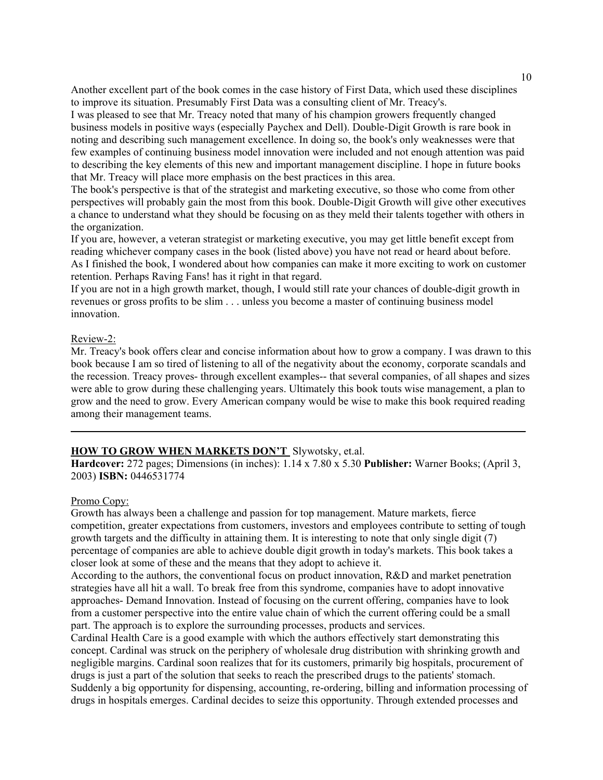Another excellent part of the book comes in the case history of First Data, which used these disciplines to improve its situation. Presumably First Data was a consulting client of Mr. Treacy's.

I was pleased to see that Mr. Treacy noted that many of his champion growers frequently changed business models in positive ways (especially Paychex and Dell). Double-Digit Growth is rare book in noting and describing such management excellence. In doing so, the book's only weaknesses were that few examples of continuing business model innovation were included and not enough attention was paid to describing the key elements of this new and important management discipline. I hope in future books that Mr. Treacy will place more emphasis on the best practices in this area.

The book's perspective is that of the strategist and marketing executive, so those who come from other perspectives will probably gain the most from this book. Double-Digit Growth will give other executives a chance to understand what they should be focusing on as they meld their talents together with others in the organization.

If you are, however, a veteran strategist or marketing executive, you may get little benefit except from reading whichever company cases in the book (listed above) you have not read or heard about before. As I finished the book, I wondered about how companies can make it more exciting to work on customer retention. Perhaps Raving Fans! has it right in that regard.

If you are not in a high growth market, though, I would still rate your chances of double-digit growth in revenues or gross profits to be slim . . . unless you become a master of continuing business model innovation.

### Review-2:

Mr. Treacy's book offers clear and concise information about how to grow a company. I was drawn to this book because I am so tired of listening to all of the negativity about the economy, corporate scandals and the recession. Treacy proves- through excellent examples-- that several companies, of all shapes and sizes were able to grow during these challenging years. Ultimately this book touts wise management, a plan to grow and the need to grow. Every American company would be wise to make this book required reading among their management teams.

### **HOW TO GROW WHEN MARKETS DON'T** Slywotsky, et.al.

**Hardcover:** 272 pages; Dimensions (in inches): 1.14 x 7.80 x 5.30 **Publisher:** Warner Books; (April 3, 2003) **ISBN:** 0446531774

**\_\_\_\_\_\_\_\_\_\_\_\_\_\_\_\_\_\_\_\_\_\_\_\_\_\_\_\_\_\_\_\_\_\_\_\_\_\_\_\_\_\_\_\_\_\_\_\_\_\_\_\_\_\_\_\_\_\_\_\_\_\_\_\_\_\_\_\_\_\_\_\_\_\_\_\_\_\_\_\_\_\_\_\_**

#### Promo Copy:

Growth has always been a challenge and passion for top management. Mature markets, fierce competition, greater expectations from customers, investors and employees contribute to setting of tough growth targets and the difficulty in attaining them. It is interesting to note that only single digit (7) percentage of companies are able to achieve double digit growth in today's markets. This book takes a closer look at some of these and the means that they adopt to achieve it.

According to the authors, the conventional focus on product innovation, R&D and market penetration strategies have all hit a wall. To break free from this syndrome, companies have to adopt innovative approaches- Demand Innovation. Instead of focusing on the current offering, companies have to look from a customer perspective into the entire value chain of which the current offering could be a small part. The approach is to explore the surrounding processes, products and services.

Cardinal Health Care is a good example with which the authors effectively start demonstrating this concept. Cardinal was struck on the periphery of wholesale drug distribution with shrinking growth and negligible margins. Cardinal soon realizes that for its customers, primarily big hospitals, procurement of drugs is just a part of the solution that seeks to reach the prescribed drugs to the patients' stomach. Suddenly a big opportunity for dispensing, accounting, re-ordering, billing and information processing of drugs in hospitals emerges. Cardinal decides to seize this opportunity. Through extended processes and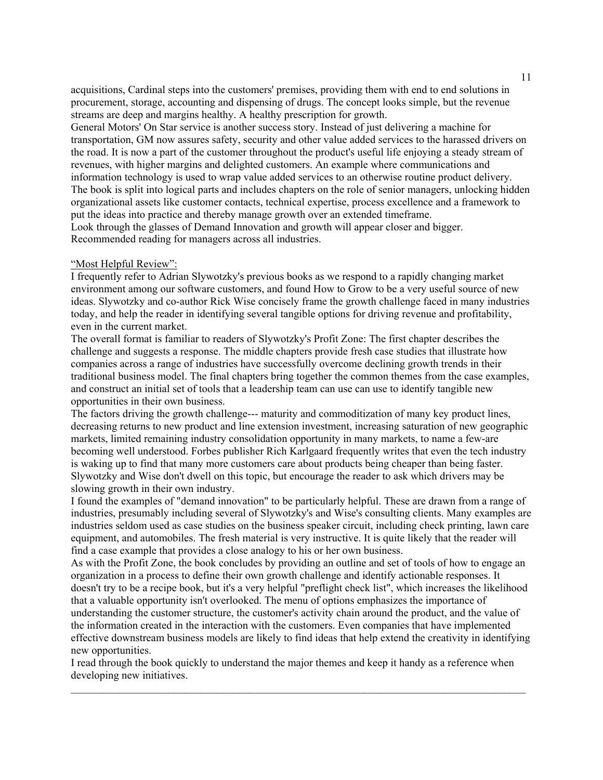acquisitions, Cardinal steps into the customers' premises, providing them with end to end solutions in procurement, storage, accounting and dispensing of drugs. The concept looks simple, but the revenue streams are deep and margins healthy. A healthy prescription for growth.

General Motors' On Star service is another success story. Instead of just delivering a machine for transportation, GM now assures safety, security and other value added services to the harassed drivers on the road. It is now a part of the customer throughout the product's useful life enjoying a steady stream of revenues, with higher margins and delighted customers. An example where communications and information technology is used to wrap value added services to an otherwise routine product delivery. The book is split into logical parts and includes chapters on the role of senior managers, unlocking hidden organizational assets like customer contacts, technical expertise, process excellence and a framework to put the ideas into practice and thereby manage growth over an extended timeframe.

Look through the glasses of Demand Innovation and growth will appear closer and bigger. Recommended reading for managers across all industries.

#### "Most Helpful Review":

I frequently refer to Adrian Slywotzky's previous books as we respond to a rapidly changing market environment among our software customers, and found How to Grow to be a very useful source of new ideas. Slywotzky and co-author Rick Wise concisely frame the growth challenge faced in many industries today, and help the reader in identifying several tangible options for driving revenue and profitability, even in the current market.

The overall format is familiar to readers of Slywotzky's Profit Zone: The first chapter describes the challenge and suggests a response. The middle chapters provide fresh case studies that illustrate how companies across a range of industries have successfully overcome declining growth trends in their traditional business model. The final chapters bring together the common themes from the case examples, and construct an initial set of tools that a leadership team can use can use to identify tangible new opportunities in their own business.

The factors driving the growth challenge--- maturity and commoditization of many key product lines, decreasing returns to new product and line extension investment, increasing saturation of new geographic markets, limited remaining industry consolidation opportunity in many markets, to name a few-are becoming well understood. Forbes publisher Rich Karlgaard frequently writes that even the tech industry is waking up to find that many more customers care about products being cheaper than being faster. Slywotzky and Wise don't dwell on this topic, but encourage the reader to ask which drivers may be slowing growth in their own industry.

I found the examples of "demand innovation" to be particularly helpful. These are drawn from a range of industries, presumably including several of Slywotzky's and Wise's consulting clients. Many examples are industries seldom used as case studies on the business speaker circuit, including check printing, lawn care equipment, and automobiles. The fresh material is very instructive. It is quite likely that the reader will find a case example that provides a close analogy to his or her own business.

As with the Profit Zone, the book concludes by providing an outline and set of tools of how to engage an organization in a process to define their own growth challenge and identify actionable responses. It doesn't try to be a recipe book, but it's a very helpful "preflight check list", which increases the likelihood that a valuable opportunity isn't overlooked. The menu of options emphasizes the importance of understanding the customer structure, the customer's activity chain around the product, and the value of the information created in the interaction with the customers. Even companies that have implemented effective downstream business models are likely to find ideas that help extend the creativity in identifying new opportunities.

I read through the book quickly to understand the major themes and keep it handy as a reference when developing new initiatives.

 $\mathcal{L}_\mathcal{L} = \{ \mathcal{L}_\mathcal{L} = \{ \mathcal{L}_\mathcal{L} = \{ \mathcal{L}_\mathcal{L} = \{ \mathcal{L}_\mathcal{L} = \{ \mathcal{L}_\mathcal{L} = \{ \mathcal{L}_\mathcal{L} = \{ \mathcal{L}_\mathcal{L} = \{ \mathcal{L}_\mathcal{L} = \{ \mathcal{L}_\mathcal{L} = \{ \mathcal{L}_\mathcal{L} = \{ \mathcal{L}_\mathcal{L} = \{ \mathcal{L}_\mathcal{L} = \{ \mathcal{L}_\mathcal{L} = \{ \mathcal{L}_\mathcal{$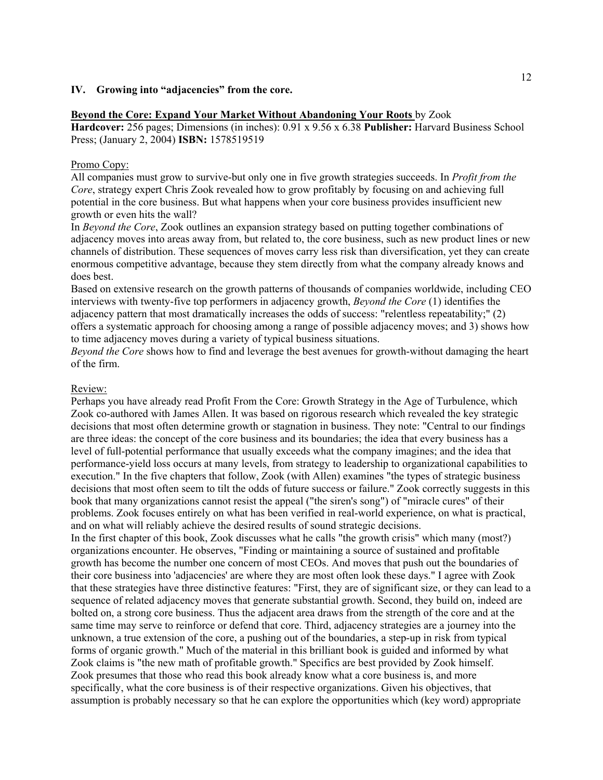### **IV. Growing into "adjacencies" from the core.**

#### **Beyond the Core: Expand Your Market Without Abandoning Your Roots** by Zook

**Hardcover:** 256 pages; Dimensions (in inches): 0.91 x 9.56 x 6.38 **Publisher:** Harvard Business School Press; (January 2, 2004) **ISBN:** 1578519519

#### Promo Copy:

All companies must grow to survive-but only one in five growth strategies succeeds. In *Profit from the Core*, strategy expert Chris Zook revealed how to grow profitably by focusing on and achieving full potential in the core business. But what happens when your core business provides insufficient new growth or even hits the wall?

In *Beyond the Core*, Zook outlines an expansion strategy based on putting together combinations of adjacency moves into areas away from, but related to, the core business, such as new product lines or new channels of distribution. These sequences of moves carry less risk than diversification, yet they can create enormous competitive advantage, because they stem directly from what the company already knows and does best.

Based on extensive research on the growth patterns of thousands of companies worldwide, including CEO interviews with twenty-five top performers in adjacency growth, *Beyond the Core* (1) identifies the adjacency pattern that most dramatically increases the odds of success: "relentless repeatability;" (2) offers a systematic approach for choosing among a range of possible adjacency moves; and 3) shows how to time adjacency moves during a variety of typical business situations.

*Beyond the Core* shows how to find and leverage the best avenues for growth-without damaging the heart of the firm.

#### Review:

Perhaps you have already read Profit From the Core: Growth Strategy in the Age of Turbulence, which Zook co-authored with James Allen. It was based on rigorous research which revealed the key strategic decisions that most often determine growth or stagnation in business. They note: "Central to our findings are three ideas: the concept of the core business and its boundaries; the idea that every business has a level of full-potential performance that usually exceeds what the company imagines; and the idea that performance-yield loss occurs at many levels, from strategy to leadership to organizational capabilities to execution." In the five chapters that follow, Zook (with Allen) examines "the types of strategic business decisions that most often seem to tilt the odds of future success or failure." Zook correctly suggests in this book that many organizations cannot resist the appeal ("the siren's song") of "miracle cures" of their problems. Zook focuses entirely on what has been verified in real-world experience, on what is practical, and on what will reliably achieve the desired results of sound strategic decisions.

In the first chapter of this book, Zook discusses what he calls "the growth crisis" which many (most?) organizations encounter. He observes, "Finding or maintaining a source of sustained and profitable growth has become the number one concern of most CEOs. And moves that push out the boundaries of their core business into 'adjacencies' are where they are most often look these days." I agree with Zook that these strategies have three distinctive features: "First, they are of significant size, or they can lead to a sequence of related adjacency moves that generate substantial growth. Second, they build on, indeed are bolted on, a strong core business. Thus the adjacent area draws from the strength of the core and at the same time may serve to reinforce or defend that core. Third, adjacency strategies are a journey into the unknown, a true extension of the core, a pushing out of the boundaries, a step-up in risk from typical forms of organic growth." Much of the material in this brilliant book is guided and informed by what Zook claims is "the new math of profitable growth." Specifics are best provided by Zook himself. Zook presumes that those who read this book already know what a core business is, and more specifically, what the core business is of their respective organizations. Given his objectives, that assumption is probably necessary so that he can explore the opportunities which (key word) appropriate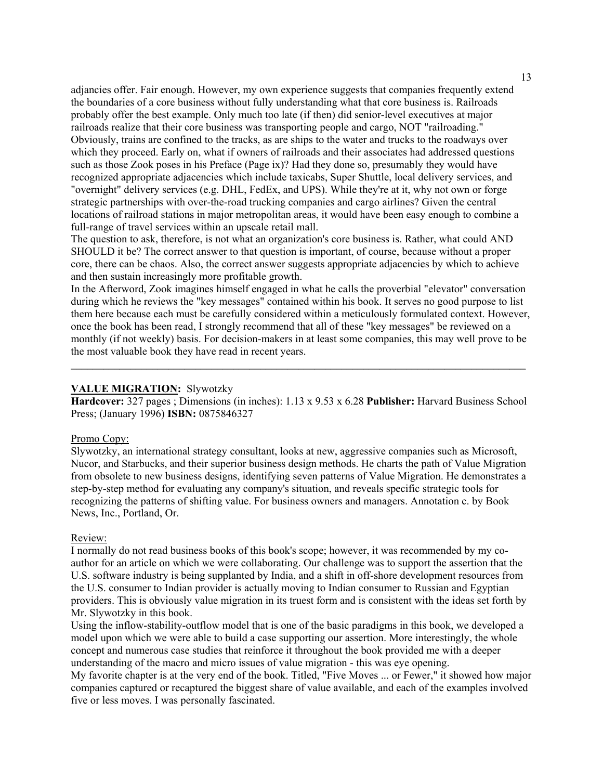adjancies offer. Fair enough. However, my own experience suggests that companies frequently extend the boundaries of a core business without fully understanding what that core business is. Railroads probably offer the best example. Only much too late (if then) did senior-level executives at major railroads realize that their core business was transporting people and cargo, NOT "railroading." Obviously, trains are confined to the tracks, as are ships to the water and trucks to the roadways over which they proceed. Early on, what if owners of railroads and their associates had addressed questions such as those Zook poses in his Preface (Page ix)? Had they done so, presumably they would have recognized appropriate adjacencies which include taxicabs, Super Shuttle, local delivery services, and "overnight" delivery services (e.g. DHL, FedEx, and UPS). While they're at it, why not own or forge strategic partnerships with over-the-road trucking companies and cargo airlines? Given the central locations of railroad stations in major metropolitan areas, it would have been easy enough to combine a full-range of travel services within an upscale retail mall.

The question to ask, therefore, is not what an organization's core business is. Rather, what could AND SHOULD it be? The correct answer to that question is important, of course, because without a proper core, there can be chaos. Also, the correct answer suggests appropriate adjacencies by which to achieve and then sustain increasingly more profitable growth.

In the Afterword, Zook imagines himself engaged in what he calls the proverbial "elevator" conversation during which he reviews the "key messages" contained within his book. It serves no good purpose to list them here because each must be carefully considered within a meticulously formulated context. However, once the book has been read, I strongly recommend that all of these "key messages" be reviewed on a monthly (if not weekly) basis. For decision-makers in at least some companies, this may well prove to be the most valuable book they have read in recent years.

#### **VALUE MIGRATION:** Slywotzky

**Hardcover:** 327 pages ; Dimensions (in inches): 1.13 x 9.53 x 6.28 **Publisher:** Harvard Business School Press; (January 1996) **ISBN:** 0875846327

\_\_\_\_\_\_\_\_\_\_\_\_\_\_\_\_\_\_\_\_\_\_\_\_\_\_\_\_\_\_\_\_\_\_\_\_\_\_\_\_\_\_\_\_\_\_\_\_\_\_\_\_\_\_\_\_\_\_\_\_\_\_\_\_\_\_\_\_\_\_\_\_\_\_\_\_\_\_\_\_\_\_\_\_

#### Promo Copy:

Slywotzky, an international strategy consultant, looks at new, aggressive companies such as Microsoft, Nucor, and Starbucks, and their superior business design methods. He charts the path of Value Migration from obsolete to new business designs, identifying seven patterns of Value Migration. He demonstrates a step-by-step method for evaluating any company's situation, and reveals specific strategic tools for recognizing the patterns of shifting value. For business owners and managers. Annotation c. by Book News, Inc., Portland, Or.

## Review:

I normally do not read business books of this book's scope; however, it was recommended by my coauthor for an article on which we were collaborating. Our challenge was to support the assertion that the U.S. software industry is being supplanted by India, and a shift in off-shore development resources from the U.S. consumer to Indian provider is actually moving to Indian consumer to Russian and Egyptian providers. This is obviously value migration in its truest form and is consistent with the ideas set forth by Mr. Slywotzky in this book.

Using the inflow-stability-outflow model that is one of the basic paradigms in this book, we developed a model upon which we were able to build a case supporting our assertion. More interestingly, the whole concept and numerous case studies that reinforce it throughout the book provided me with a deeper understanding of the macro and micro issues of value migration - this was eye opening.

My favorite chapter is at the very end of the book. Titled, "Five Moves ... or Fewer," it showed how major companies captured or recaptured the biggest share of value available, and each of the examples involved five or less moves. I was personally fascinated.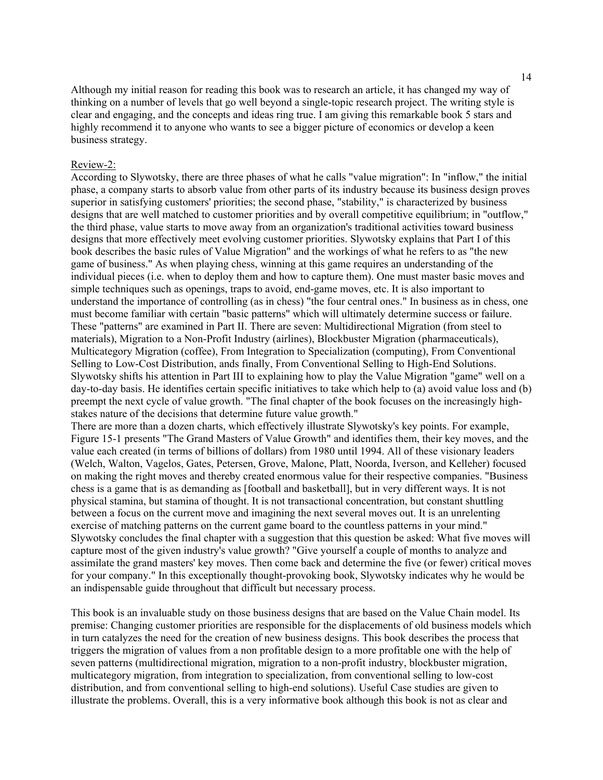Although my initial reason for reading this book was to research an article, it has changed my way of thinking on a number of levels that go well beyond a single-topic research project. The writing style is clear and engaging, and the concepts and ideas ring true. I am giving this remarkable book 5 stars and highly recommend it to anyone who wants to see a bigger picture of economics or develop a keen business strategy.

#### Review-2:

According to Slywotsky, there are three phases of what he calls "value migration": In "inflow," the initial phase, a company starts to absorb value from other parts of its industry because its business design proves superior in satisfying customers' priorities; the second phase, "stability," is characterized by business designs that are well matched to customer priorities and by overall competitive equilibrium; in "outflow," the third phase, value starts to move away from an organization's traditional activities toward business designs that more effectively meet evolving customer priorities. Slywotsky explains that Part I of this book describes the basic rules of Value Migration" and the workings of what he refers to as "the new game of business." As when playing chess, winning at this game requires an understanding of the individual pieces (i.e. when to deploy them and how to capture them). One must master basic moves and simple techniques such as openings, traps to avoid, end-game moves, etc. It is also important to understand the importance of controlling (as in chess) "the four central ones." In business as in chess, one must become familiar with certain "basic patterns" which will ultimately determine success or failure. These "patterns" are examined in Part II. There are seven: Multidirectional Migration (from steel to materials), Migration to a Non-Profit Industry (airlines), Blockbuster Migration (pharmaceuticals), Multicategory Migration (coffee), From Integration to Specialization (computing), From Conventional Selling to Low-Cost Distribution, ands finally, From Conventional Selling to High-End Solutions. Slywotsky shifts his attention in Part III to explaining how to play the Value Migration "game" well on a day-to-day basis. He identifies certain specific initiatives to take which help to (a) avoid value loss and (b) preempt the next cycle of value growth. "The final chapter of the book focuses on the increasingly highstakes nature of the decisions that determine future value growth."

There are more than a dozen charts, which effectively illustrate Slywotsky's key points. For example, Figure 15-1 presents "The Grand Masters of Value Growth" and identifies them, their key moves, and the value each created (in terms of billions of dollars) from 1980 until 1994. All of these visionary leaders (Welch, Walton, Vagelos, Gates, Petersen, Grove, Malone, Platt, Noorda, Iverson, and Kelleher) focused on making the right moves and thereby created enormous value for their respective companies. "Business chess is a game that is as demanding as [football and basketball], but in very different ways. It is not physical stamina, but stamina of thought. It is not transactional concentration, but constant shuttling between a focus on the current move and imagining the next several moves out. It is an unrelenting exercise of matching patterns on the current game board to the countless patterns in your mind." Slywotsky concludes the final chapter with a suggestion that this question be asked: What five moves will capture most of the given industry's value growth? "Give yourself a couple of months to analyze and assimilate the grand masters' key moves. Then come back and determine the five (or fewer) critical moves for your company." In this exceptionally thought-provoking book, Slywotsky indicates why he would be an indispensable guide throughout that difficult but necessary process.

This book is an invaluable study on those business designs that are based on the Value Chain model. Its premise: Changing customer priorities are responsible for the displacements of old business models which in turn catalyzes the need for the creation of new business designs. This book describes the process that triggers the migration of values from a non profitable design to a more profitable one with the help of seven patterns (multidirectional migration, migration to a non-profit industry, blockbuster migration, multicategory migration, from integration to specialization, from conventional selling to low-cost distribution, and from conventional selling to high-end solutions). Useful Case studies are given to illustrate the problems. Overall, this is a very informative book although this book is not as clear and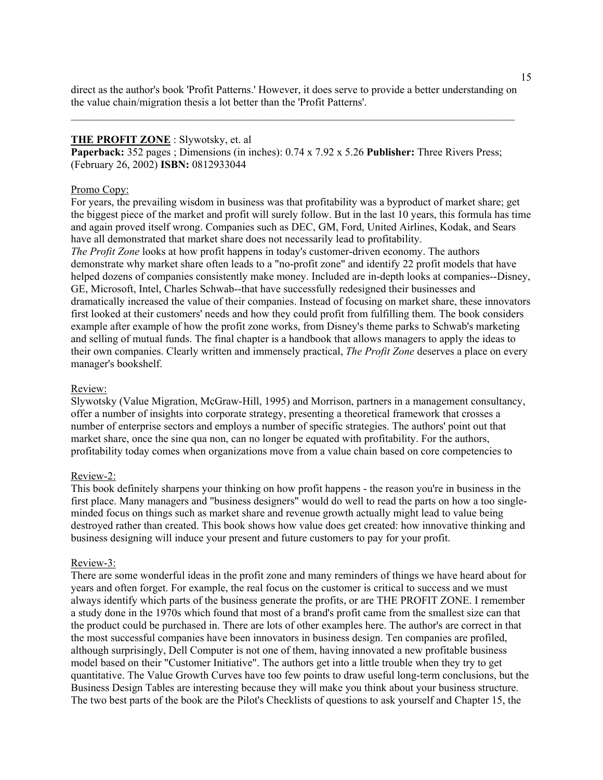direct as the author's book 'Profit Patterns.' However, it does serve to provide a better understanding on the value chain/migration thesis a lot better than the 'Profit Patterns'.

 $\mathcal{L}_\mathcal{L} = \{ \mathcal{L}_\mathcal{L} = \{ \mathcal{L}_\mathcal{L} = \{ \mathcal{L}_\mathcal{L} = \{ \mathcal{L}_\mathcal{L} = \{ \mathcal{L}_\mathcal{L} = \{ \mathcal{L}_\mathcal{L} = \{ \mathcal{L}_\mathcal{L} = \{ \mathcal{L}_\mathcal{L} = \{ \mathcal{L}_\mathcal{L} = \{ \mathcal{L}_\mathcal{L} = \{ \mathcal{L}_\mathcal{L} = \{ \mathcal{L}_\mathcal{L} = \{ \mathcal{L}_\mathcal{L} = \{ \mathcal{L}_\mathcal{$ 

### **THE PROFIT ZONE** : Slywotsky, et. al

**Paperback:** 352 pages ; Dimensions (in inches): 0.74 x 7.92 x 5.26 **Publisher:** Three Rivers Press; (February 26, 2002) **ISBN:** 0812933044

#### Promo Copy:

For years, the prevailing wisdom in business was that profitability was a byproduct of market share; get the biggest piece of the market and profit will surely follow. But in the last 10 years, this formula has time and again proved itself wrong. Companies such as DEC, GM, Ford, United Airlines, Kodak, and Sears have all demonstrated that market share does not necessarily lead to profitability.

*The Profit Zone* looks at how profit happens in today's customer-driven economy. The authors demonstrate why market share often leads to a "no-profit zone" and identify 22 profit models that have helped dozens of companies consistently make money. Included are in-depth looks at companies--Disney, GE, Microsoft, Intel, Charles Schwab--that have successfully redesigned their businesses and dramatically increased the value of their companies. Instead of focusing on market share, these innovators first looked at their customers' needs and how they could profit from fulfilling them. The book considers example after example of how the profit zone works, from Disney's theme parks to Schwab's marketing and selling of mutual funds. The final chapter is a handbook that allows managers to apply the ideas to their own companies. Clearly written and immensely practical, *The Profit Zone* deserves a place on every manager's bookshelf.

#### Review:

Slywotsky (Value Migration, McGraw-Hill, 1995) and Morrison, partners in a management consultancy, offer a number of insights into corporate strategy, presenting a theoretical framework that crosses a number of enterprise sectors and employs a number of specific strategies. The authors' point out that market share, once the sine qua non, can no longer be equated with profitability. For the authors, profitability today comes when organizations move from a value chain based on core competencies to

#### Review-2:

This book definitely sharpens your thinking on how profit happens - the reason you're in business in the first place. Many managers and "business designers" would do well to read the parts on how a too singleminded focus on things such as market share and revenue growth actually might lead to value being destroyed rather than created. This book shows how value does get created: how innovative thinking and business designing will induce your present and future customers to pay for your profit.

#### Review-3:

There are some wonderful ideas in the profit zone and many reminders of things we have heard about for years and often forget. For example, the real focus on the customer is critical to success and we must always identify which parts of the business generate the profits, or are THE PROFIT ZONE. I remember a study done in the 1970s which found that most of a brand's profit came from the smallest size can that the product could be purchased in. There are lots of other examples here. The author's are correct in that the most successful companies have been innovators in business design. Ten companies are profiled, although surprisingly, Dell Computer is not one of them, having innovated a new profitable business model based on their "Customer Initiative". The authors get into a little trouble when they try to get quantitative. The Value Growth Curves have too few points to draw useful long-term conclusions, but the Business Design Tables are interesting because they will make you think about your business structure. The two best parts of the book are the Pilot's Checklists of questions to ask yourself and Chapter 15, the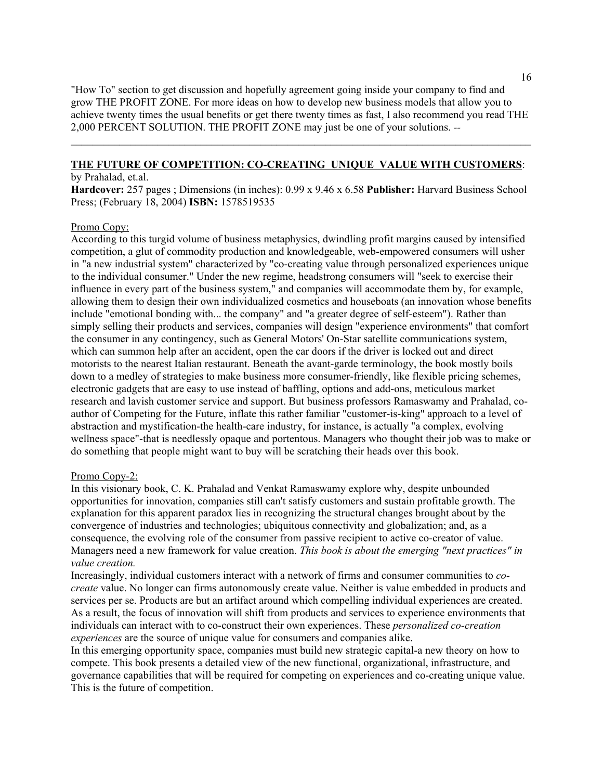"How To" section to get discussion and hopefully agreement going inside your company to find and grow THE PROFIT ZONE. For more ideas on how to develop new business models that allow you to achieve twenty times the usual benefits or get there twenty times as fast, I also recommend you read THE 2,000 PERCENT SOLUTION. THE PROFIT ZONE may just be one of your solutions. *--*

 $\mathcal{L}_\text{max} = \mathcal{L}_\text{max} = \mathcal{L}_\text{max} = \mathcal{L}_\text{max} = \mathcal{L}_\text{max} = \mathcal{L}_\text{max} = \mathcal{L}_\text{max} = \mathcal{L}_\text{max} = \mathcal{L}_\text{max} = \mathcal{L}_\text{max} = \mathcal{L}_\text{max} = \mathcal{L}_\text{max} = \mathcal{L}_\text{max} = \mathcal{L}_\text{max} = \mathcal{L}_\text{max} = \mathcal{L}_\text{max} = \mathcal{L}_\text{max} = \mathcal{L}_\text{max} = \mathcal{$ 

#### **THE FUTURE OF COMPETITION: CO-CREATING UNIQUE VALUE WITH CUSTOMERS**: by Prahalad, et.al.

**Hardcover:** 257 pages ; Dimensions (in inches): 0.99 x 9.46 x 6.58 **Publisher:** Harvard Business School Press; (February 18, 2004) **ISBN:** 1578519535

### Promo Copy:

According to this turgid volume of business metaphysics, dwindling profit margins caused by intensified competition, a glut of commodity production and knowledgeable, web-empowered consumers will usher in "a new industrial system" characterized by "co-creating value through personalized experiences unique to the individual consumer." Under the new regime, headstrong consumers will "seek to exercise their influence in every part of the business system," and companies will accommodate them by, for example, allowing them to design their own individualized cosmetics and houseboats (an innovation whose benefits include "emotional bonding with... the company" and "a greater degree of self-esteem"). Rather than simply selling their products and services, companies will design "experience environments" that comfort the consumer in any contingency, such as General Motors' On-Star satellite communications system, which can summon help after an accident, open the car doors if the driver is locked out and direct motorists to the nearest Italian restaurant. Beneath the avant-garde terminology, the book mostly boils down to a medley of strategies to make business more consumer-friendly, like flexible pricing schemes, electronic gadgets that are easy to use instead of baffling, options and add-ons, meticulous market research and lavish customer service and support. But business professors Ramaswamy and Prahalad, coauthor of Competing for the Future, inflate this rather familiar "customer-is-king" approach to a level of abstraction and mystification-the health-care industry, for instance, is actually "a complex, evolving wellness space"-that is needlessly opaque and portentous. Managers who thought their job was to make or do something that people might want to buy will be scratching their heads over this book.

### Promo Copy-2:

In this visionary book, C. K. Prahalad and Venkat Ramaswamy explore why, despite unbounded opportunities for innovation, companies still can't satisfy customers and sustain profitable growth. The explanation for this apparent paradox lies in recognizing the structural changes brought about by the convergence of industries and technologies; ubiquitous connectivity and globalization; and, as a consequence, the evolving role of the consumer from passive recipient to active co-creator of value. Managers need a new framework for value creation. *This book is about the emerging "next practices" in value creation.*

Increasingly, individual customers interact with a network of firms and consumer communities to *cocreate* value. No longer can firms autonomously create value. Neither is value embedded in products and services per se. Products are but an artifact around which compelling individual experiences are created. As a result, the focus of innovation will shift from products and services to experience environments that individuals can interact with to co-construct their own experiences. These *personalized co-creation experiences* are the source of unique value for consumers and companies alike.

In this emerging opportunity space, companies must build new strategic capital-a new theory on how to compete. This book presents a detailed view of the new functional, organizational, infrastructure, and governance capabilities that will be required for competing on experiences and co-creating unique value. This is the future of competition.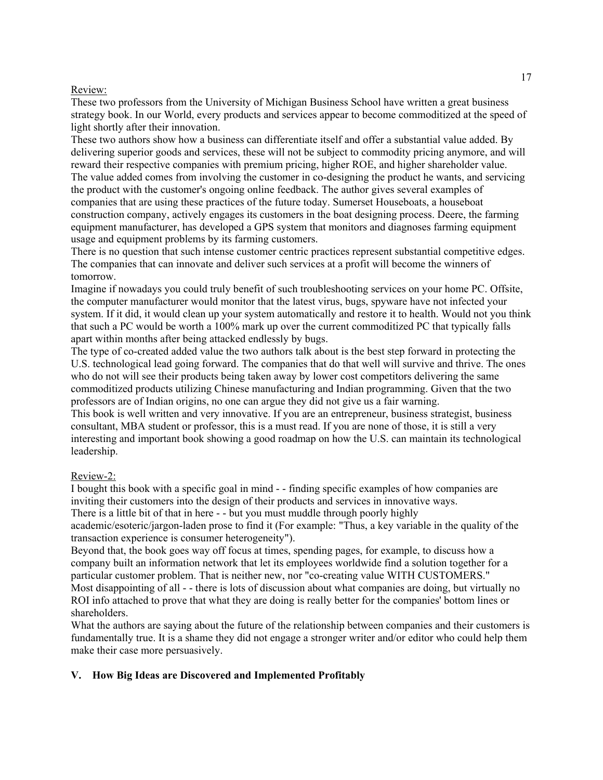## Review:

These two professors from the University of Michigan Business School have written a great business strategy book. In our World, every products and services appear to become commoditized at the speed of light shortly after their innovation.

These two authors show how a business can differentiate itself and offer a substantial value added. By delivering superior goods and services, these will not be subject to commodity pricing anymore, and will reward their respective companies with premium pricing, higher ROE, and higher shareholder value. The value added comes from involving the customer in co-designing the product he wants, and servicing the product with the customer's ongoing online feedback. The author gives several examples of companies that are using these practices of the future today. Sumerset Houseboats, a houseboat construction company, actively engages its customers in the boat designing process. Deere, the farming equipment manufacturer, has developed a GPS system that monitors and diagnoses farming equipment usage and equipment problems by its farming customers.

There is no question that such intense customer centric practices represent substantial competitive edges. The companies that can innovate and deliver such services at a profit will become the winners of tomorrow.

Imagine if nowadays you could truly benefit of such troubleshooting services on your home PC. Offsite, the computer manufacturer would monitor that the latest virus, bugs, spyware have not infected your system. If it did, it would clean up your system automatically and restore it to health. Would not you think that such a PC would be worth a 100% mark up over the current commoditized PC that typically falls apart within months after being attacked endlessly by bugs.

The type of co-created added value the two authors talk about is the best step forward in protecting the U.S. technological lead going forward. The companies that do that well will survive and thrive. The ones who do not will see their products being taken away by lower cost competitors delivering the same commoditized products utilizing Chinese manufacturing and Indian programming. Given that the two professors are of Indian origins, no one can argue they did not give us a fair warning.

This book is well written and very innovative. If you are an entrepreneur, business strategist, business consultant, MBA student or professor, this is a must read. If you are none of those, it is still a very interesting and important book showing a good roadmap on how the U.S. can maintain its technological leadership.

## Review-2:

I bought this book with a specific goal in mind - - finding specific examples of how companies are inviting their customers into the design of their products and services in innovative ways. There is a little bit of that in here - - but you must muddle through poorly highly

academic/esoteric/jargon-laden prose to find it (For example: "Thus, a key variable in the quality of the transaction experience is consumer heterogeneity").

Beyond that, the book goes way off focus at times, spending pages, for example, to discuss how a company built an information network that let its employees worldwide find a solution together for a particular customer problem. That is neither new, nor "co-creating value WITH CUSTOMERS." Most disappointing of all - - there is lots of discussion about what companies are doing, but virtually no ROI info attached to prove that what they are doing is really better for the companies' bottom lines or shareholders.

What the authors are saying about the future of the relationship between companies and their customers is fundamentally true. It is a shame they did not engage a stronger writer and/or editor who could help them make their case more persuasively.

## **V. How Big Ideas are Discovered and Implemented Profitably**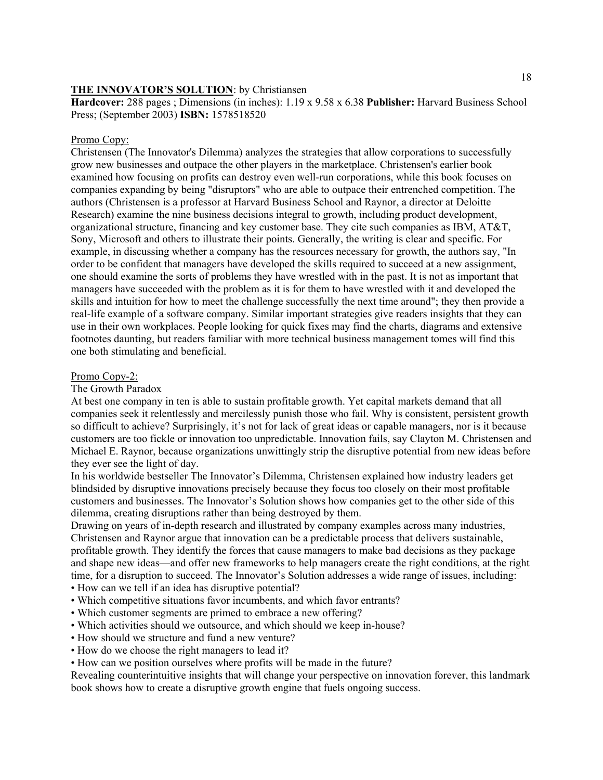### **THE INNOVATOR'S SOLUTION**: by Christiansen

**Hardcover:** 288 pages ; Dimensions (in inches): 1.19 x 9.58 x 6.38 **Publisher:** Harvard Business School Press; (September 2003) **ISBN:** 1578518520

### Promo Copy:

Christensen (The Innovator's Dilemma) analyzes the strategies that allow corporations to successfully grow new businesses and outpace the other players in the marketplace. Christensen's earlier book examined how focusing on profits can destroy even well-run corporations, while this book focuses on companies expanding by being "disruptors" who are able to outpace their entrenched competition. The authors (Christensen is a professor at Harvard Business School and Raynor, a director at Deloitte Research) examine the nine business decisions integral to growth, including product development, organizational structure, financing and key customer base. They cite such companies as IBM, AT&T, Sony, Microsoft and others to illustrate their points. Generally, the writing is clear and specific. For example, in discussing whether a company has the resources necessary for growth, the authors say, "In order to be confident that managers have developed the skills required to succeed at a new assignment, one should examine the sorts of problems they have wrestled with in the past. It is not as important that managers have succeeded with the problem as it is for them to have wrestled with it and developed the skills and intuition for how to meet the challenge successfully the next time around"; they then provide a real-life example of a software company. Similar important strategies give readers insights that they can use in their own workplaces. People looking for quick fixes may find the charts, diagrams and extensive footnotes daunting, but readers familiar with more technical business management tomes will find this one both stimulating and beneficial.

#### Promo Copy-2:

The Growth Paradox

At best one company in ten is able to sustain profitable growth. Yet capital markets demand that all companies seek it relentlessly and mercilessly punish those who fail. Why is consistent, persistent growth so difficult to achieve? Surprisingly, it's not for lack of great ideas or capable managers, nor is it because customers are too fickle or innovation too unpredictable. Innovation fails, say Clayton M. Christensen and Michael E. Raynor, because organizations unwittingly strip the disruptive potential from new ideas before they ever see the light of day.

In his worldwide bestseller The Innovator's Dilemma, Christensen explained how industry leaders get blindsided by disruptive innovations precisely because they focus too closely on their most profitable customers and businesses. The Innovator's Solution shows how companies get to the other side of this dilemma, creating disruptions rather than being destroyed by them.

Drawing on years of in-depth research and illustrated by company examples across many industries, Christensen and Raynor argue that innovation can be a predictable process that delivers sustainable, profitable growth. They identify the forces that cause managers to make bad decisions as they package and shape new ideas—and offer new frameworks to help managers create the right conditions, at the right time, for a disruption to succeed. The Innovator's Solution addresses a wide range of issues, including:

- How can we tell if an idea has disruptive potential?
- Which competitive situations favor incumbents, and which favor entrants?
- Which customer segments are primed to embrace a new offering?
- Which activities should we outsource, and which should we keep in-house?
- How should we structure and fund a new venture?
- How do we choose the right managers to lead it?

• How can we position ourselves where profits will be made in the future?

Revealing counterintuitive insights that will change your perspective on innovation forever, this landmark book shows how to create a disruptive growth engine that fuels ongoing success.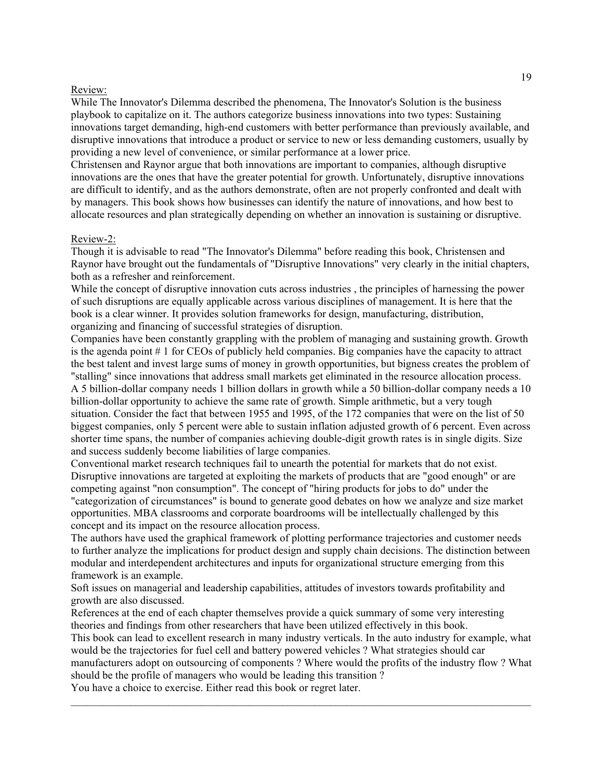### Review:

While The Innovator's Dilemma described the phenomena, The Innovator's Solution is the business playbook to capitalize on it. The authors categorize business innovations into two types: Sustaining innovations target demanding, high-end customers with better performance than previously available, and disruptive innovations that introduce a product or service to new or less demanding customers, usually by providing a new level of convenience, or similar performance at a lower price.

Christensen and Raynor argue that both innovations are important to companies, although disruptive innovations are the ones that have the greater potential for growth. Unfortunately, disruptive innovations are difficult to identify, and as the authors demonstrate, often are not properly confronted and dealt with by managers. This book shows how businesses can identify the nature of innovations, and how best to allocate resources and plan strategically depending on whether an innovation is sustaining or disruptive.

### Review-2:

Though it is advisable to read "The Innovator's Dilemma" before reading this book, Christensen and Raynor have brought out the fundamentals of "Disruptive Innovations" very clearly in the initial chapters, both as a refresher and reinforcement.

While the concept of disruptive innovation cuts across industries , the principles of harnessing the power of such disruptions are equally applicable across various disciplines of management. It is here that the book is a clear winner. It provides solution frameworks for design, manufacturing, distribution, organizing and financing of successful strategies of disruption.

Companies have been constantly grappling with the problem of managing and sustaining growth. Growth is the agenda point # 1 for CEOs of publicly held companies. Big companies have the capacity to attract the best talent and invest large sums of money in growth opportunities, but bigness creates the problem of "stalling" since innovations that address small markets get eliminated in the resource allocation process. A 5 billion-dollar company needs 1 billion dollars in growth while a 50 billion-dollar company needs a 10 billion-dollar opportunity to achieve the same rate of growth. Simple arithmetic, but a very tough situation. Consider the fact that between 1955 and 1995, of the 172 companies that were on the list of 50 biggest companies, only 5 percent were able to sustain inflation adjusted growth of 6 percent. Even across shorter time spans, the number of companies achieving double-digit growth rates is in single digits. Size and success suddenly become liabilities of large companies.

Conventional market research techniques fail to unearth the potential for markets that do not exist. Disruptive innovations are targeted at exploiting the markets of products that are "good enough" or are competing against "non consumption". The concept of "hiring products for jobs to do" under the "categorization of circumstances" is bound to generate good debates on how we analyze and size market opportunities. MBA classrooms and corporate boardrooms will be intellectually challenged by this concept and its impact on the resource allocation process.

The authors have used the graphical framework of plotting performance trajectories and customer needs to further analyze the implications for product design and supply chain decisions. The distinction between modular and interdependent architectures and inputs for organizational structure emerging from this framework is an example.

Soft issues on managerial and leadership capabilities, attitudes of investors towards profitability and growth are also discussed.

References at the end of each chapter themselves provide a quick summary of some very interesting theories and findings from other researchers that have been utilized effectively in this book.

This book can lead to excellent research in many industry verticals. In the auto industry for example, what would be the trajectories for fuel cell and battery powered vehicles ? What strategies should car manufacturers adopt on outsourcing of components ? Where would the profits of the industry flow ? What should be the profile of managers who would be leading this transition ?

 $\mathcal{L}_\text{max} = \mathcal{L}_\text{max} = \mathcal{L}_\text{max} = \mathcal{L}_\text{max} = \mathcal{L}_\text{max} = \mathcal{L}_\text{max} = \mathcal{L}_\text{max} = \mathcal{L}_\text{max} = \mathcal{L}_\text{max} = \mathcal{L}_\text{max} = \mathcal{L}_\text{max} = \mathcal{L}_\text{max} = \mathcal{L}_\text{max} = \mathcal{L}_\text{max} = \mathcal{L}_\text{max} = \mathcal{L}_\text{max} = \mathcal{L}_\text{max} = \mathcal{L}_\text{max} = \mathcal{$ 

You have a choice to exercise. Either read this book or regret later.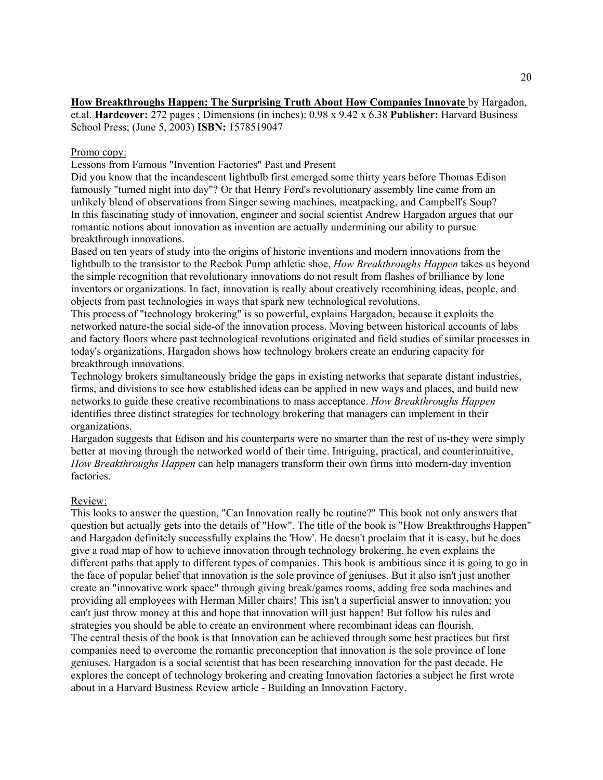## **How Breakthroughs Happen: The Surprising Truth About How Companies Innovate** by Hargadon,

et.al. **Hardcover:** 272 pages ; Dimensions (in inches): 0.98 x 9.42 x 6.38 **Publisher:** Harvard Business School Press; (June 5, 2003) **ISBN:** 1578519047

### Promo copy:

Lessons from Famous "Invention Factories" Past and Present

Did you know that the incandescent lightbulb first emerged some thirty years before Thomas Edison famously "turned night into day"? Or that Henry Ford's revolutionary assembly line came from an unlikely blend of observations from Singer sewing machines, meatpacking, and Campbell's Soup? In this fascinating study of innovation, engineer and social scientist Andrew Hargadon argues that our romantic notions about innovation as invention are actually undermining our ability to pursue breakthrough innovations.

Based on ten years of study into the origins of historic inventions and modern innovations from the lightbulb to the transistor to the Reebok Pump athletic shoe, *How Breakthroughs Happen* takes us beyond the simple recognition that revolutionary innovations do not result from flashes of brilliance by lone inventors or organizations. In fact, innovation is really about creatively recombining ideas, people, and objects from past technologies in ways that spark new technological revolutions.

This process of "technology brokering" is so powerful, explains Hargadon, because it exploits the networked nature-the social side-of the innovation process. Moving between historical accounts of labs and factory floors where past technological revolutions originated and field studies of similar processes in today's organizations, Hargadon shows how technology brokers create an enduring capacity for breakthrough innovations.

Technology brokers simultaneously bridge the gaps in existing networks that separate distant industries, firms, and divisions to see how established ideas can be applied in new ways and places, and build new networks to guide these creative recombinations to mass acceptance. *How Breakthroughs Happen* identifies three distinct strategies for technology brokering that managers can implement in their organizations.

Hargadon suggests that Edison and his counterparts were no smarter than the rest of us-they were simply better at moving through the networked world of their time. Intriguing, practical, and counterintuitive, *How Breakthroughs Happen* can help managers transform their own firms into modern-day invention factories.

## Review:

This looks to answer the question, "Can Innovation really be routine?" This book not only answers that question but actually gets into the details of "How". The title of the book is "How Breakthroughs Happen" and Hargadon definitely successfully explains the 'How'. He doesn't proclaim that it is easy, but he does give a road map of how to achieve innovation through technology brokering, he even explains the different paths that apply to different types of companies. This book is ambitious since it is going to go in the face of popular belief that innovation is the sole province of geniuses. But it also isn't just another create an "innovative work space" through giving break/games rooms, adding free soda machines and providing all employees with Herman Miller chairs! This isn't a superficial answer to innovation; you can't just throw money at this and hope that innovation will just happen! But follow his rules and strategies you should be able to create an environment where recombinant ideas can flourish. The central thesis of the book is that Innovation can be achieved through some best practices but first companies need to overcome the romantic preconception that innovation is the sole province of lone geniuses. Hargadon is a social scientist that has been researching innovation for the past decade. He explores the concept of technology brokering and creating Innovation factories a subject he first wrote about in a Harvard Business Review article - Building an Innovation Factory.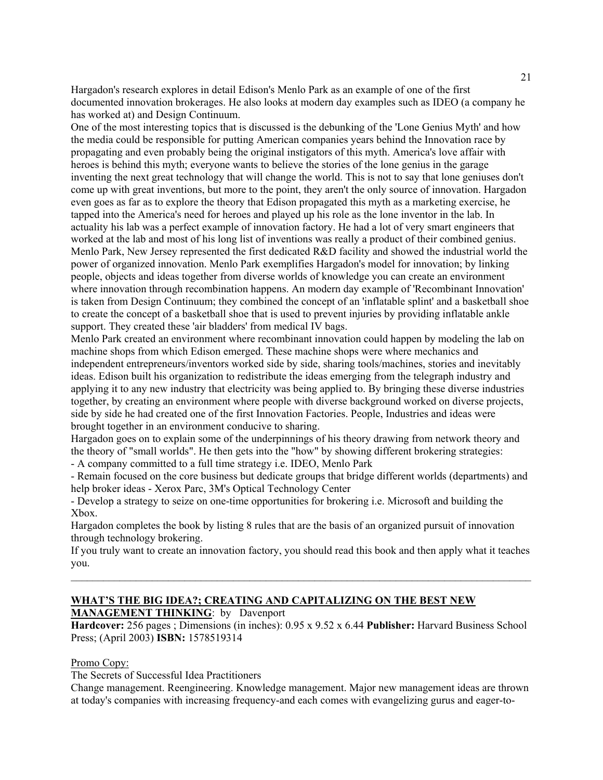Hargadon's research explores in detail Edison's Menlo Park as an example of one of the first documented innovation brokerages. He also looks at modern day examples such as IDEO (a company he has worked at) and Design Continuum.

One of the most interesting topics that is discussed is the debunking of the 'Lone Genius Myth' and how the media could be responsible for putting American companies years behind the Innovation race by propagating and even probably being the original instigators of this myth. America's love affair with heroes is behind this myth; everyone wants to believe the stories of the lone genius in the garage inventing the next great technology that will change the world. This is not to say that lone geniuses don't come up with great inventions, but more to the point, they aren't the only source of innovation. Hargadon even goes as far as to explore the theory that Edison propagated this myth as a marketing exercise, he tapped into the America's need for heroes and played up his role as the lone inventor in the lab. In actuality his lab was a perfect example of innovation factory. He had a lot of very smart engineers that worked at the lab and most of his long list of inventions was really a product of their combined genius. Menlo Park, New Jersey represented the first dedicated R&D facility and showed the industrial world the power of organized innovation. Menlo Park exemplifies Hargadon's model for innovation; by linking people, objects and ideas together from diverse worlds of knowledge you can create an environment where innovation through recombination happens. An modern day example of 'Recombinant Innovation' is taken from Design Continuum; they combined the concept of an 'inflatable splint' and a basketball shoe to create the concept of a basketball shoe that is used to prevent injuries by providing inflatable ankle support. They created these 'air bladders' from medical IV bags.

Menlo Park created an environment where recombinant innovation could happen by modeling the lab on machine shops from which Edison emerged. These machine shops were where mechanics and independent entrepreneurs/inventors worked side by side, sharing tools/machines, stories and inevitably ideas. Edison built his organization to redistribute the ideas emerging from the telegraph industry and applying it to any new industry that electricity was being applied to. By bringing these diverse industries together, by creating an environment where people with diverse background worked on diverse projects, side by side he had created one of the first Innovation Factories. People, Industries and ideas were brought together in an environment conducive to sharing.

Hargadon goes on to explain some of the underpinnings of his theory drawing from network theory and the theory of "small worlds". He then gets into the "how" by showing different brokering strategies: - A company committed to a full time strategy i.e. IDEO, Menlo Park

- Remain focused on the core business but dedicate groups that bridge different worlds (departments) and

help broker ideas - Xerox Parc, 3M's Optical Technology Center

- Develop a strategy to seize on one-time opportunities for brokering i.e. Microsoft and building the Xbox.

Hargadon completes the book by listing 8 rules that are the basis of an organized pursuit of innovation through technology brokering.

If you truly want to create an innovation factory, you should read this book and then apply what it teaches you.  $\mathcal{L}_\text{max} = \mathcal{L}_\text{max} = \mathcal{L}_\text{max} = \mathcal{L}_\text{max} = \mathcal{L}_\text{max} = \mathcal{L}_\text{max} = \mathcal{L}_\text{max} = \mathcal{L}_\text{max} = \mathcal{L}_\text{max} = \mathcal{L}_\text{max} = \mathcal{L}_\text{max} = \mathcal{L}_\text{max} = \mathcal{L}_\text{max} = \mathcal{L}_\text{max} = \mathcal{L}_\text{max} = \mathcal{L}_\text{max} = \mathcal{L}_\text{max} = \mathcal{L}_\text{max} = \mathcal{$ 

### **WHAT'S THE BIG IDEA?; CREATING AND CAPITALIZING ON THE BEST NEW MANAGEMENT THINKING**: by Davenport

**Hardcover:** 256 pages ; Dimensions (in inches): 0.95 x 9.52 x 6.44 **Publisher:** Harvard Business School Press; (April 2003) **ISBN:** 1578519314

## Promo Copy:

The Secrets of Successful Idea Practitioners

Change management. Reengineering. Knowledge management. Major new management ideas are thrown at today's companies with increasing frequency-and each comes with evangelizing gurus and eager-to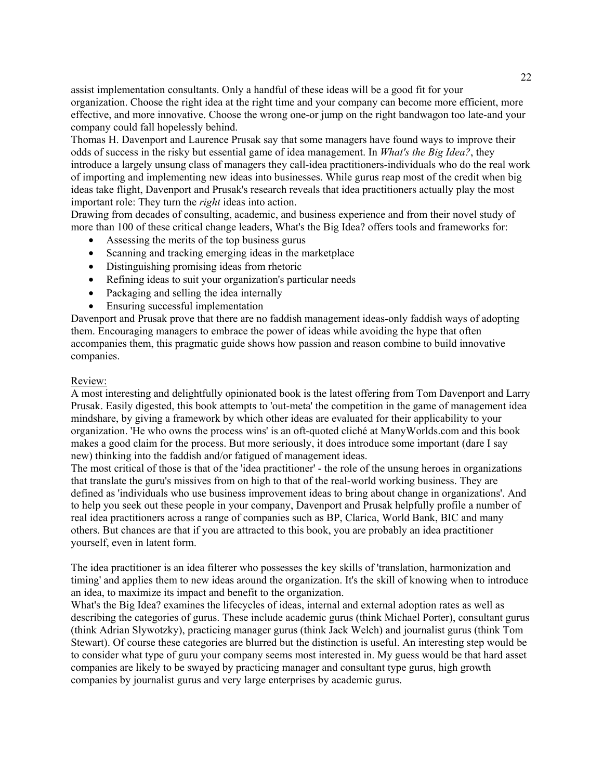assist implementation consultants. Only a handful of these ideas will be a good fit for your organization. Choose the right idea at the right time and your company can become more efficient, more effective, and more innovative. Choose the wrong one-or jump on the right bandwagon too late-and your company could fall hopelessly behind.

Thomas H. Davenport and Laurence Prusak say that some managers have found ways to improve their odds of success in the risky but essential game of idea management. In *What's the Big Idea?*, they introduce a largely unsung class of managers they call-idea practitioners-individuals who do the real work of importing and implementing new ideas into businesses. While gurus reap most of the credit when big ideas take flight, Davenport and Prusak's research reveals that idea practitioners actually play the most important role: They turn the *right* ideas into action.

Drawing from decades of consulting, academic, and business experience and from their novel study of more than 100 of these critical change leaders, What's the Big Idea? offers tools and frameworks for:

- Assessing the merits of the top business gurus
- Scanning and tracking emerging ideas in the marketplace
- Distinguishing promising ideas from rhetoric
- Refining ideas to suit your organization's particular needs
- Packaging and selling the idea internally
- Ensuring successful implementation

Davenport and Prusak prove that there are no faddish management ideas-only faddish ways of adopting them. Encouraging managers to embrace the power of ideas while avoiding the hype that often accompanies them, this pragmatic guide shows how passion and reason combine to build innovative companies.

## Review:

A most interesting and delightfully opinionated book is the latest offering from Tom Davenport and Larry Prusak. Easily digested, this book attempts to 'out-meta' the competition in the game of management idea mindshare, by giving a framework by which other ideas are evaluated for their applicability to your organization. 'He who owns the process wins' is an oft-quoted cliché at ManyWorlds.com and this book makes a good claim for the process. But more seriously, it does introduce some important (dare I say new) thinking into the faddish and/or fatigued of management ideas.

The most critical of those is that of the 'idea practitioner' - the role of the unsung heroes in organizations that translate the guru's missives from on high to that of the real-world working business. They are defined as 'individuals who use business improvement ideas to bring about change in organizations'. And to help you seek out these people in your company, Davenport and Prusak helpfully profile a number of real idea practitioners across a range of companies such as BP, Clarica, World Bank, BIC and many others. But chances are that if you are attracted to this book, you are probably an idea practitioner yourself, even in latent form.

The idea practitioner is an idea filterer who possesses the key skills of 'translation, harmonization and timing' and applies them to new ideas around the organization. It's the skill of knowing when to introduce an idea, to maximize its impact and benefit to the organization.

What's the Big Idea? examines the lifecycles of ideas, internal and external adoption rates as well as describing the categories of gurus. These include academic gurus (think Michael Porter), consultant gurus (think Adrian Slywotzky), practicing manager gurus (think Jack Welch) and journalist gurus (think Tom Stewart). Of course these categories are blurred but the distinction is useful. An interesting step would be to consider what type of guru your company seems most interested in. My guess would be that hard asset companies are likely to be swayed by practicing manager and consultant type gurus, high growth companies by journalist gurus and very large enterprises by academic gurus.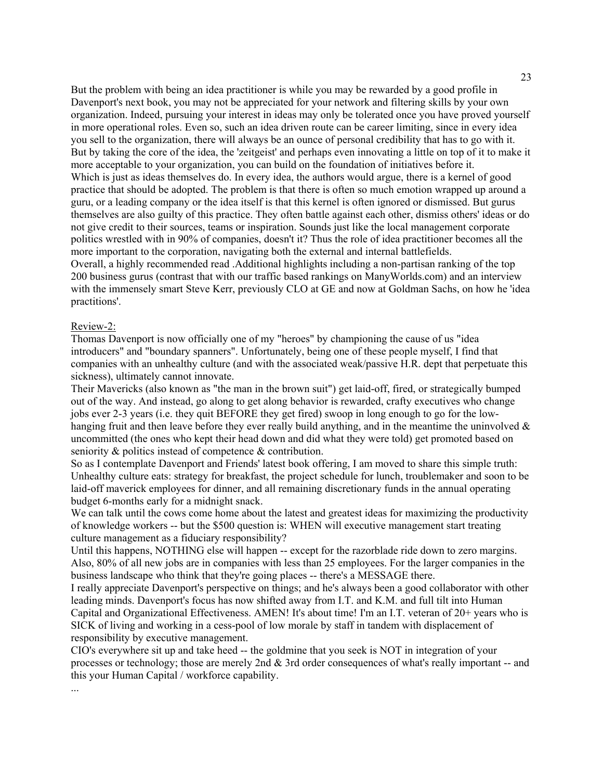But the problem with being an idea practitioner is while you may be rewarded by a good profile in Davenport's next book, you may not be appreciated for your network and filtering skills by your own organization. Indeed, pursuing your interest in ideas may only be tolerated once you have proved yourself in more operational roles. Even so, such an idea driven route can be career limiting, since in every idea you sell to the organization, there will always be an ounce of personal credibility that has to go with it. But by taking the core of the idea, the 'zeitgeist' and perhaps even innovating a little on top of it to make it more acceptable to your organization, you can build on the foundation of initiatives before it. Which is just as ideas themselves do. In every idea, the authors would argue, there is a kernel of good practice that should be adopted. The problem is that there is often so much emotion wrapped up around a guru, or a leading company or the idea itself is that this kernel is often ignored or dismissed. But gurus themselves are also guilty of this practice. They often battle against each other, dismiss others' ideas or do not give credit to their sources, teams or inspiration. Sounds just like the local management corporate politics wrestled with in 90% of companies, doesn't it? Thus the role of idea practitioner becomes all the more important to the corporation, navigating both the external and internal battlefields. Overall, a highly recommended read .Additional highlights including a non-partisan ranking of the top

200 business gurus (contrast that with our traffic based rankings on ManyWorlds.com) and an interview with the immensely smart Steve Kerr, previously CLO at GE and now at Goldman Sachs, on how he 'idea practitions'.

#### Review-2:

...

Thomas Davenport is now officially one of my "heroes" by championing the cause of us "idea introducers" and "boundary spanners". Unfortunately, being one of these people myself, I find that companies with an unhealthy culture (and with the associated weak/passive H.R. dept that perpetuate this sickness), ultimately cannot innovate.

Their Mavericks (also known as "the man in the brown suit") get laid-off, fired, or strategically bumped out of the way. And instead, go along to get along behavior is rewarded, crafty executives who change jobs ever 2-3 years (i.e. they quit BEFORE they get fired) swoop in long enough to go for the lowhanging fruit and then leave before they ever really build anything, and in the meantime the uninvolved  $\&$ uncommitted (the ones who kept their head down and did what they were told) get promoted based on seniority & politics instead of competence & contribution.

So as I contemplate Davenport and Friends' latest book offering, I am moved to share this simple truth: Unhealthy culture eats: strategy for breakfast, the project schedule for lunch, troublemaker and soon to be laid-off maverick employees for dinner, and all remaining discretionary funds in the annual operating budget 6-months early for a midnight snack.

We can talk until the cows come home about the latest and greatest ideas for maximizing the productivity of knowledge workers -- but the \$500 question is: WHEN will executive management start treating culture management as a fiduciary responsibility?

Until this happens, NOTHING else will happen -- except for the razorblade ride down to zero margins. Also, 80% of all new jobs are in companies with less than 25 employees. For the larger companies in the business landscape who think that they're going places -- there's a MESSAGE there.

I really appreciate Davenport's perspective on things; and he's always been a good collaborator with other leading minds. Davenport's focus has now shifted away from I.T. and K.M. and full tilt into Human Capital and Organizational Effectiveness. AMEN! It's about time! I'm an I.T. veteran of 20+ years who is SICK of living and working in a cess-pool of low morale by staff in tandem with displacement of responsibility by executive management.

CIO's everywhere sit up and take heed -- the goldmine that you seek is NOT in integration of your processes or technology; those are merely 2nd & 3rd order consequences of what's really important -- and this your Human Capital / workforce capability.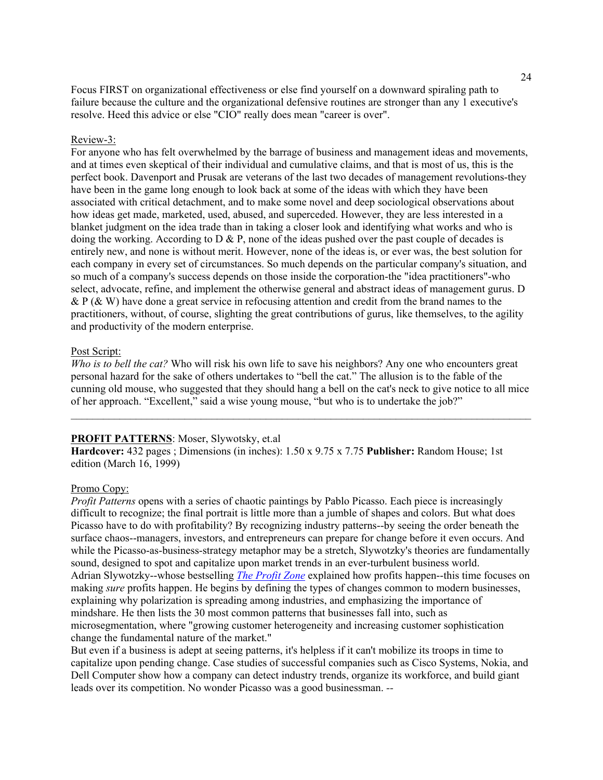Focus FIRST on organizational effectiveness or else find yourself on a downward spiraling path to failure because the culture and the organizational defensive routines are stronger than any 1 executive's resolve. Heed this advice or else "CIO" really does mean "career is over".

### Review-3:

For anyone who has felt overwhelmed by the barrage of business and management ideas and movements, and at times even skeptical of their individual and cumulative claims, and that is most of us, this is the perfect book. Davenport and Prusak are veterans of the last two decades of management revolutions-they have been in the game long enough to look back at some of the ideas with which they have been associated with critical detachment, and to make some novel and deep sociological observations about how ideas get made, marketed, used, abused, and superceded. However, they are less interested in a blanket judgment on the idea trade than in taking a closer look and identifying what works and who is doing the working. According to  $D \& P$ , none of the ideas pushed over the past couple of decades is entirely new, and none is without merit. However, none of the ideas is, or ever was, the best solution for each company in every set of circumstances. So much depends on the particular company's situation, and so much of a company's success depends on those inside the corporation-the "idea practitioners"-who select, advocate, refine, and implement the otherwise general and abstract ideas of management gurus. D & P ( $\&$  W) have done a great service in refocusing attention and credit from the brand names to the practitioners, without, of course, slighting the great contributions of gurus, like themselves, to the agility and productivity of the modern enterprise.

#### Post Script:

*Who is to bell the cat?* Who will risk his own life to save his neighbors? Any one who encounters great personal hazard for the sake of others undertakes to "bell the cat." The allusion is to the fable of the cunning old mouse, who suggested that they should hang a bell on the cat's neck to give notice to all mice of her approach. "Excellent," said a wise young mouse, "but who is to undertake the job?"

 $\mathcal{L}_\text{max} = \mathcal{L}_\text{max} = \mathcal{L}_\text{max} = \mathcal{L}_\text{max} = \mathcal{L}_\text{max} = \mathcal{L}_\text{max} = \mathcal{L}_\text{max} = \mathcal{L}_\text{max} = \mathcal{L}_\text{max} = \mathcal{L}_\text{max} = \mathcal{L}_\text{max} = \mathcal{L}_\text{max} = \mathcal{L}_\text{max} = \mathcal{L}_\text{max} = \mathcal{L}_\text{max} = \mathcal{L}_\text{max} = \mathcal{L}_\text{max} = \mathcal{L}_\text{max} = \mathcal{$ 

### **PROFIT PATTERNS**: Moser, Slywotsky, et.al

**Hardcover:** 432 pages ; Dimensions (in inches): 1.50 x 9.75 x 7.75 **Publisher:** Random House; 1st edition (March 16, 1999)

#### Promo Copy:

*Profit Patterns* opens with a series of chaotic paintings by Pablo Picasso. Each piece is increasingly difficult to recognize; the final portrait is little more than a jumble of shapes and colors. But what does Picasso have to do with profitability? By recognizing industry patterns--by seeing the order beneath the surface chaos--managers, investors, and entrepreneurs can prepare for change before it even occurs. And while the Picasso-as-business-strategy metaphor may be a stretch, Slywotzky's theories are fundamentally sound, designed to spot and capitalize upon market trends in an ever-turbulent business world. Adrian Slywotzky--whose bestselling *The Profit Zone* explained how profits happen--this time focuses on making *sure* profits happen. He begins by defining the types of changes common to modern businesses, explaining why polarization is spreading among industries, and emphasizing the importance of mindshare. He then lists the 30 most common patterns that businesses fall into, such as microsegmentation, where "growing customer heterogeneity and increasing customer sophistication change the fundamental nature of the market."

But even if a business is adept at seeing patterns, it's helpless if it can't mobilize its troops in time to capitalize upon pending change. Case studies of successful companies such as Cisco Systems, Nokia, and Dell Computer show how a company can detect industry trends, organize its workforce, and build giant leads over its competition. No wonder Picasso was a good businessman. *--*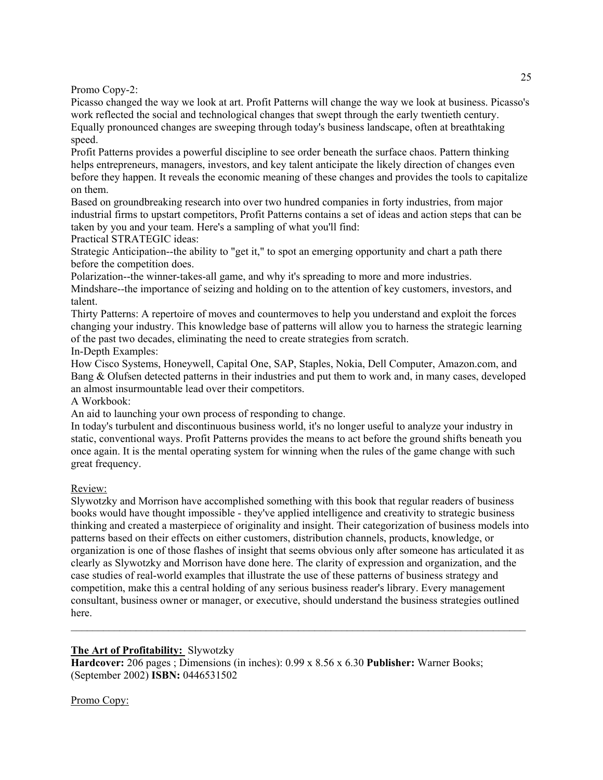Promo Copy-2:

Picasso changed the way we look at art. Profit Patterns will change the way we look at business. Picasso's work reflected the social and technological changes that swept through the early twentieth century. Equally pronounced changes are sweeping through today's business landscape, often at breathtaking speed.

Profit Patterns provides a powerful discipline to see order beneath the surface chaos. Pattern thinking helps entrepreneurs, managers, investors, and key talent anticipate the likely direction of changes even before they happen. It reveals the economic meaning of these changes and provides the tools to capitalize on them.

Based on groundbreaking research into over two hundred companies in forty industries, from major industrial firms to upstart competitors, Profit Patterns contains a set of ideas and action steps that can be taken by you and your team. Here's a sampling of what you'll find:

Practical STRATEGIC ideas:

Strategic Anticipation--the ability to "get it," to spot an emerging opportunity and chart a path there before the competition does.

Polarization--the winner-takes-all game, and why it's spreading to more and more industries.

Mindshare--the importance of seizing and holding on to the attention of key customers, investors, and talent.

Thirty Patterns: A repertoire of moves and countermoves to help you understand and exploit the forces changing your industry. This knowledge base of patterns will allow you to harness the strategic learning of the past two decades, eliminating the need to create strategies from scratch. In-Depth Examples:

How Cisco Systems, Honeywell, Capital One, SAP, Staples, Nokia, Dell Computer, Amazon.com, and Bang & Olufsen detected patterns in their industries and put them to work and, in many cases, developed an almost insurmountable lead over their competitors.

A Workbook:

An aid to launching your own process of responding to change.

In today's turbulent and discontinuous business world, it's no longer useful to analyze your industry in static, conventional ways. Profit Patterns provides the means to act before the ground shifts beneath you once again. It is the mental operating system for winning when the rules of the game change with such great frequency.

# Review:

Slywotzky and Morrison have accomplished something with this book that regular readers of business books would have thought impossible - they've applied intelligence and creativity to strategic business thinking and created a masterpiece of originality and insight. Their categorization of business models into patterns based on their effects on either customers, distribution channels, products, knowledge, or organization is one of those flashes of insight that seems obvious only after someone has articulated it as clearly as Slywotzky and Morrison have done here. The clarity of expression and organization, and the case studies of real-world examples that illustrate the use of these patterns of business strategy and competition, make this a central holding of any serious business reader's library. Every management consultant, business owner or manager, or executive, should understand the business strategies outlined here.

# **The Art of Profitability:** Slywotzky

**Hardcover:** 206 pages ; Dimensions (in inches): 0.99 x 8.56 x 6.30 **Publisher:** Warner Books; (September 2002) **ISBN:** 0446531502

# Promo Copy: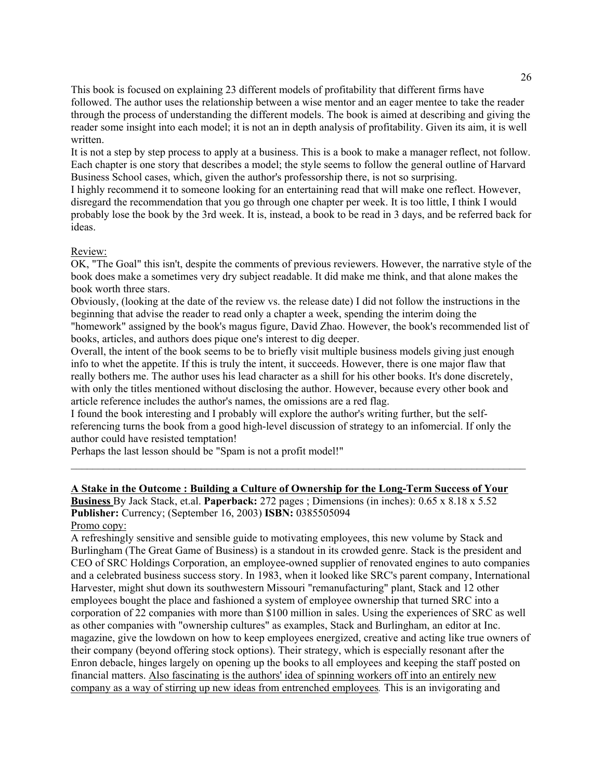This book is focused on explaining 23 different models of profitability that different firms have followed. The author uses the relationship between a wise mentor and an eager mentee to take the reader through the process of understanding the different models. The book is aimed at describing and giving the reader some insight into each model; it is not an in depth analysis of profitability. Given its aim, it is well written.

It is not a step by step process to apply at a business. This is a book to make a manager reflect, not follow. Each chapter is one story that describes a model; the style seems to follow the general outline of Harvard Business School cases, which, given the author's professorship there, is not so surprising.

I highly recommend it to someone looking for an entertaining read that will make one reflect. However, disregard the recommendation that you go through one chapter per week. It is too little, I think I would probably lose the book by the 3rd week. It is, instead, a book to be read in 3 days, and be referred back for ideas.

### Review:

OK, "The Goal" this isn't, despite the comments of previous reviewers. However, the narrative style of the book does make a sometimes very dry subject readable. It did make me think, and that alone makes the book worth three stars.

Obviously, (looking at the date of the review vs. the release date) I did not follow the instructions in the beginning that advise the reader to read only a chapter a week, spending the interim doing the "homework" assigned by the book's magus figure, David Zhao. However, the book's recommended list of books, articles, and authors does pique one's interest to dig deeper.

Overall, the intent of the book seems to be to briefly visit multiple business models giving just enough info to whet the appetite. If this is truly the intent, it succeeds. However, there is one major flaw that really bothers me. The author uses his lead character as a shill for his other books. It's done discretely, with only the titles mentioned without disclosing the author. However, because every other book and article reference includes the author's names, the omissions are a red flag.

I found the book interesting and I probably will explore the author's writing further, but the selfreferencing turns the book from a good high-level discussion of strategy to an infomercial. If only the author could have resisted temptation!

 $\mathcal{L}_\mathcal{L} = \{ \mathcal{L}_\mathcal{L} = \{ \mathcal{L}_\mathcal{L} = \{ \mathcal{L}_\mathcal{L} = \{ \mathcal{L}_\mathcal{L} = \{ \mathcal{L}_\mathcal{L} = \{ \mathcal{L}_\mathcal{L} = \{ \mathcal{L}_\mathcal{L} = \{ \mathcal{L}_\mathcal{L} = \{ \mathcal{L}_\mathcal{L} = \{ \mathcal{L}_\mathcal{L} = \{ \mathcal{L}_\mathcal{L} = \{ \mathcal{L}_\mathcal{L} = \{ \mathcal{L}_\mathcal{L} = \{ \mathcal{L}_\mathcal{$ 

Perhaps the last lesson should be "Spam is not a profit model!"

# **A Stake in the Outcome : Building a Culture of Ownership for the Long-Term Success of Your Business** By Jack Stack, et.al. **Paperback:** 272 pages ; Dimensions (in inches): 0.65 x 8.18 x 5.52 **Publisher:** Currency; (September 16, 2003) **ISBN:** 0385505094

Promo copy:

A refreshingly sensitive and sensible guide to motivating employees, this new volume by Stack and Burlingham (The Great Game of Business) is a standout in its crowded genre. Stack is the president and CEO of SRC Holdings Corporation, an employee-owned supplier of renovated engines to auto companies and a celebrated business success story. In 1983, when it looked like SRC's parent company, International Harvester, might shut down its southwestern Missouri "remanufacturing" plant, Stack and 12 other employees bought the place and fashioned a system of employee ownership that turned SRC into a corporation of 22 companies with more than \$100 million in sales. Using the experiences of SRC as well as other companies with "ownership cultures" as examples, Stack and Burlingham, an editor at Inc. magazine, give the lowdown on how to keep employees energized, creative and acting like true owners of their company (beyond offering stock options). Their strategy, which is especially resonant after the Enron debacle, hinges largely on opening up the books to all employees and keeping the staff posted on financial matters. Also fascinating is the authors' idea of spinning workers off into an entirely new company as a way of stirring up new ideas from entrenched employees*.* This is an invigorating and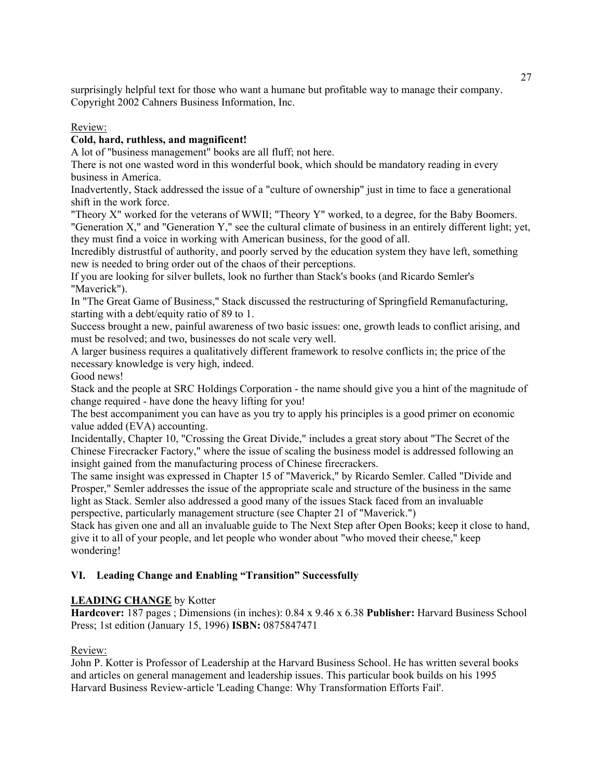surprisingly helpful text for those who want a humane but profitable way to manage their company. Copyright 2002 Cahners Business Information, Inc.

## Review:

## **Cold, hard, ruthless, and magnificent!**

A lot of "business management" books are all fluff; not here.

There is not one wasted word in this wonderful book, which should be mandatory reading in every business in America.

Inadvertently, Stack addressed the issue of a "culture of ownership" just in time to face a generational shift in the work force.

"Theory X" worked for the veterans of WWII; "Theory Y" worked, to a degree, for the Baby Boomers. "Generation X," and "Generation Y," see the cultural climate of business in an entirely different light; yet, they must find a voice in working with American business, for the good of all.

Incredibly distrustful of authority, and poorly served by the education system they have left, something new is needed to bring order out of the chaos of their perceptions.

If you are looking for silver bullets, look no further than Stack's books (and Ricardo Semler's "Maverick").

In "The Great Game of Business," Stack discussed the restructuring of Springfield Remanufacturing, starting with a debt/equity ratio of 89 to 1.

Success brought a new, painful awareness of two basic issues: one, growth leads to conflict arising, and must be resolved; and two, businesses do not scale very well.

A larger business requires a qualitatively different framework to resolve conflicts in; the price of the necessary knowledge is very high, indeed.

Good news!

Stack and the people at SRC Holdings Corporation - the name should give you a hint of the magnitude of change required - have done the heavy lifting for you!

The best accompaniment you can have as you try to apply his principles is a good primer on economic value added (EVA) accounting.

Incidentally, Chapter 10, "Crossing the Great Divide," includes a great story about "The Secret of the Chinese Firecracker Factory," where the issue of scaling the business model is addressed following an insight gained from the manufacturing process of Chinese firecrackers.

The same insight was expressed in Chapter 15 of "Maverick," by Ricardo Semler. Called "Divide and Prosper," Semler addresses the issue of the appropriate scale and structure of the business in the same light as Stack. Semler also addressed a good many of the issues Stack faced from an invaluable perspective, particularly management structure (see Chapter 21 of "Maverick.")

Stack has given one and all an invaluable guide to The Next Step after Open Books; keep it close to hand, give it to all of your people, and let people who wonder about "who moved their cheese," keep wondering!

## **VI. Leading Change and Enabling "Transition" Successfully**

## **LEADING CHANGE** by Kotter

**Hardcover:** 187 pages ; Dimensions (in inches): 0.84 x 9.46 x 6.38 **Publisher:** Harvard Business School Press; 1st edition (January 15, 1996) **ISBN:** 0875847471

## Review:

John P. Kotter is Professor of Leadership at the Harvard Business School. He has written several books and articles on general management and leadership issues. This particular book builds on his 1995 Harvard Business Review-article 'Leading Change: Why Transformation Efforts Fail'.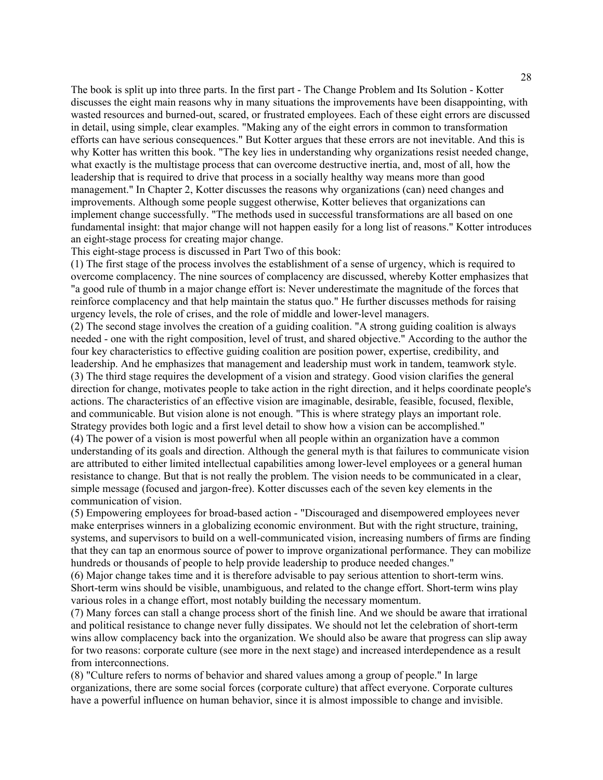The book is split up into three parts. In the first part - The Change Problem and Its Solution - Kotter discusses the eight main reasons why in many situations the improvements have been disappointing, with wasted resources and burned-out, scared, or frustrated employees. Each of these eight errors are discussed in detail, using simple, clear examples. "Making any of the eight errors in common to transformation efforts can have serious consequences." But Kotter argues that these errors are not inevitable. And this is why Kotter has written this book. "The key lies in understanding why organizations resist needed change, what exactly is the multistage process that can overcome destructive inertia, and, most of all, how the leadership that is required to drive that process in a socially healthy way means more than good management." In Chapter 2, Kotter discusses the reasons why organizations (can) need changes and improvements. Although some people suggest otherwise, Kotter believes that organizations can implement change successfully. "The methods used in successful transformations are all based on one fundamental insight: that major change will not happen easily for a long list of reasons." Kotter introduces an eight-stage process for creating major change.

This eight-stage process is discussed in Part Two of this book:

(1) The first stage of the process involves the establishment of a sense of urgency, which is required to overcome complacency. The nine sources of complacency are discussed, whereby Kotter emphasizes that "a good rule of thumb in a major change effort is: Never underestimate the magnitude of the forces that reinforce complacency and that help maintain the status quo." He further discusses methods for raising urgency levels, the role of crises, and the role of middle and lower-level managers.

(2) The second stage involves the creation of a guiding coalition. "A strong guiding coalition is always needed - one with the right composition, level of trust, and shared objective." According to the author the four key characteristics to effective guiding coalition are position power, expertise, credibility, and leadership. And he emphasizes that management and leadership must work in tandem, teamwork style. (3) The third stage requires the development of a vision and strategy. Good vision clarifies the general direction for change, motivates people to take action in the right direction, and it helps coordinate people's actions. The characteristics of an effective vision are imaginable, desirable, feasible, focused, flexible, and communicable. But vision alone is not enough. "This is where strategy plays an important role. Strategy provides both logic and a first level detail to show how a vision can be accomplished." (4) The power of a vision is most powerful when all people within an organization have a common understanding of its goals and direction. Although the general myth is that failures to communicate vision are attributed to either limited intellectual capabilities among lower-level employees or a general human resistance to change. But that is not really the problem. The vision needs to be communicated in a clear, simple message (focused and jargon-free). Kotter discusses each of the seven key elements in the communication of vision.

(5) Empowering employees for broad-based action - "Discouraged and disempowered employees never make enterprises winners in a globalizing economic environment. But with the right structure, training, systems, and supervisors to build on a well-communicated vision, increasing numbers of firms are finding that they can tap an enormous source of power to improve organizational performance. They can mobilize hundreds or thousands of people to help provide leadership to produce needed changes."

(6) Major change takes time and it is therefore advisable to pay serious attention to short-term wins. Short-term wins should be visible, unambiguous, and related to the change effort. Short-term wins play various roles in a change effort, most notably building the necessary momentum.

(7) Many forces can stall a change process short of the finish line. And we should be aware that irrational and political resistance to change never fully dissipates. We should not let the celebration of short-term wins allow complacency back into the organization. We should also be aware that progress can slip away for two reasons: corporate culture (see more in the next stage) and increased interdependence as a result from interconnections.

(8) "Culture refers to norms of behavior and shared values among a group of people." In large organizations, there are some social forces (corporate culture) that affect everyone. Corporate cultures have a powerful influence on human behavior, since it is almost impossible to change and invisible.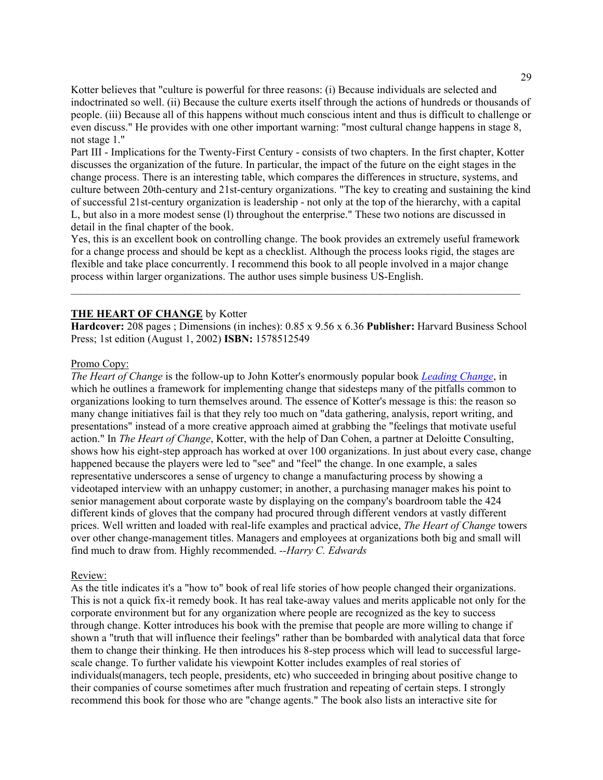Kotter believes that "culture is powerful for three reasons: (i) Because individuals are selected and indoctrinated so well. (ii) Because the culture exerts itself through the actions of hundreds or thousands of people. (iii) Because all of this happens without much conscious intent and thus is difficult to challenge or even discuss." He provides with one other important warning: "most cultural change happens in stage 8, not stage 1."

Part III - Implications for the Twenty-First Century - consists of two chapters. In the first chapter, Kotter discusses the organization of the future. In particular, the impact of the future on the eight stages in the change process. There is an interesting table, which compares the differences in structure, systems, and culture between 20th-century and 21st-century organizations. "The key to creating and sustaining the kind of successful 21st-century organization is leadership - not only at the top of the hierarchy, with a capital L, but also in a more modest sense (l) throughout the enterprise." These two notions are discussed in detail in the final chapter of the book.

Yes, this is an excellent book on controlling change. The book provides an extremely useful framework for a change process and should be kept as a checklist. Although the process looks rigid, the stages are flexible and take place concurrently. I recommend this book to all people involved in a major change process within larger organizations. The author uses simple business US-English.

 $\mathcal{L}_\text{max}$  and  $\mathcal{L}_\text{max}$  and  $\mathcal{L}_\text{max}$  and  $\mathcal{L}_\text{max}$  and  $\mathcal{L}_\text{max}$  and  $\mathcal{L}_\text{max}$ 

### **THE HEART OF CHANGE** by Kotter

**Hardcover:** 208 pages ; Dimensions (in inches): 0.85 x 9.56 x 6.36 **Publisher:** Harvard Business School Press; 1st edition (August 1, 2002) **ISBN:** 1578512549

#### Promo Copy:

*The Heart of Change* is the follow-up to John Kotter's enormously popular book *Leading Change*, in which he outlines a framework for implementing change that sidesteps many of the pitfalls common to organizations looking to turn themselves around. The essence of Kotter's message is this: the reason so many change initiatives fail is that they rely too much on "data gathering, analysis, report writing, and presentations" instead of a more creative approach aimed at grabbing the "feelings that motivate useful action." In *The Heart of Change*, Kotter, with the help of Dan Cohen, a partner at Deloitte Consulting, shows how his eight-step approach has worked at over 100 organizations. In just about every case, change happened because the players were led to "see" and "feel" the change. In one example, a sales representative underscores a sense of urgency to change a manufacturing process by showing a videotaped interview with an unhappy customer; in another, a purchasing manager makes his point to senior management about corporate waste by displaying on the company's boardroom table the 424 different kinds of gloves that the company had procured through different vendors at vastly different prices. Well written and loaded with real-life examples and practical advice, *The Heart of Change* towers over other change-management titles. Managers and employees at organizations both big and small will find much to draw from. Highly recommended. *--Harry C. Edwards*

#### Review:

As the title indicates it's a "how to" book of real life stories of how people changed their organizations. This is not a quick fix-it remedy book. It has real take-away values and merits applicable not only for the corporate environment but for any organization where people are recognized as the key to success through change. Kotter introduces his book with the premise that people are more willing to change if shown a "truth that will influence their feelings" rather than be bombarded with analytical data that force them to change their thinking. He then introduces his 8-step process which will lead to successful largescale change. To further validate his viewpoint Kotter includes examples of real stories of individuals(managers, tech people, presidents, etc) who succeeded in bringing about positive change to their companies of course sometimes after much frustration and repeating of certain steps. I strongly recommend this book for those who are "change agents." The book also lists an interactive site for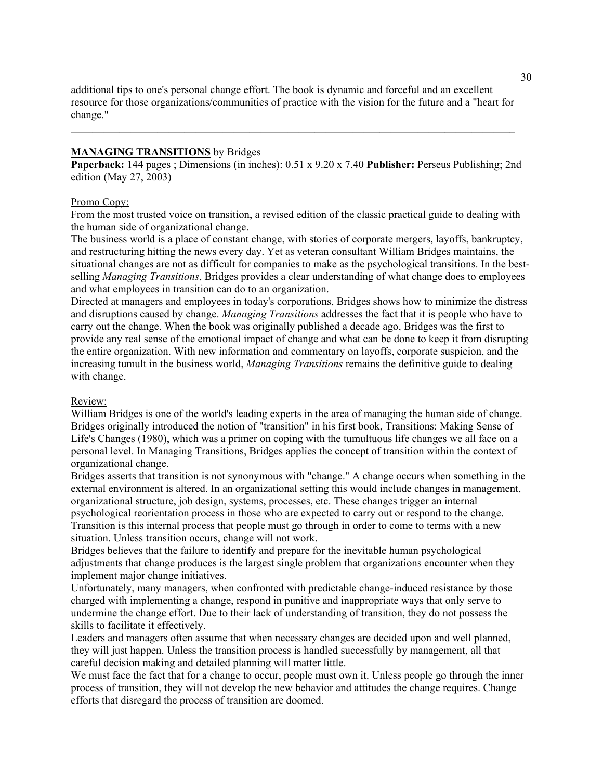additional tips to one's personal change effort. The book is dynamic and forceful and an excellent resource for those organizations/communities of practice with the vision for the future and a "heart for change."

 $\mathcal{L}_\mathcal{L} = \{ \mathcal{L}_\mathcal{L} = \{ \mathcal{L}_\mathcal{L} = \{ \mathcal{L}_\mathcal{L} = \{ \mathcal{L}_\mathcal{L} = \{ \mathcal{L}_\mathcal{L} = \{ \mathcal{L}_\mathcal{L} = \{ \mathcal{L}_\mathcal{L} = \{ \mathcal{L}_\mathcal{L} = \{ \mathcal{L}_\mathcal{L} = \{ \mathcal{L}_\mathcal{L} = \{ \mathcal{L}_\mathcal{L} = \{ \mathcal{L}_\mathcal{L} = \{ \mathcal{L}_\mathcal{L} = \{ \mathcal{L}_\mathcal{$ 

### **MANAGING TRANSITIONS** by Bridges

**Paperback:** 144 pages ; Dimensions (in inches): 0.51 x 9.20 x 7.40 **Publisher:** Perseus Publishing; 2nd edition (May 27, 2003)

### Promo Copy:

From the most trusted voice on transition, a revised edition of the classic practical guide to dealing with the human side of organizational change.

The business world is a place of constant change, with stories of corporate mergers, layoffs, bankruptcy, and restructuring hitting the news every day. Yet as veteran consultant William Bridges maintains, the situational changes are not as difficult for companies to make as the psychological transitions. In the bestselling *Managing Transitions*, Bridges provides a clear understanding of what change does to employees and what employees in transition can do to an organization.

Directed at managers and employees in today's corporations, Bridges shows how to minimize the distress and disruptions caused by change. *Managing Transitions* addresses the fact that it is people who have to carry out the change. When the book was originally published a decade ago, Bridges was the first to provide any real sense of the emotional impact of change and what can be done to keep it from disrupting the entire organization. With new information and commentary on layoffs, corporate suspicion, and the increasing tumult in the business world, *Managing Transitions* remains the definitive guide to dealing with change.

### Review:

William Bridges is one of the world's leading experts in the area of managing the human side of change. Bridges originally introduced the notion of "transition" in his first book, Transitions: Making Sense of Life's Changes (1980), which was a primer on coping with the tumultuous life changes we all face on a personal level. In Managing Transitions, Bridges applies the concept of transition within the context of organizational change.

Bridges asserts that transition is not synonymous with "change." A change occurs when something in the external environment is altered. In an organizational setting this would include changes in management, organizational structure, job design, systems, processes, etc. These changes trigger an internal psychological reorientation process in those who are expected to carry out or respond to the change. Transition is this internal process that people must go through in order to come to terms with a new

situation. Unless transition occurs, change will not work.

Bridges believes that the failure to identify and prepare for the inevitable human psychological adjustments that change produces is the largest single problem that organizations encounter when they implement major change initiatives.

Unfortunately, many managers, when confronted with predictable change-induced resistance by those charged with implementing a change, respond in punitive and inappropriate ways that only serve to undermine the change effort. Due to their lack of understanding of transition, they do not possess the skills to facilitate it effectively.

Leaders and managers often assume that when necessary changes are decided upon and well planned, they will just happen. Unless the transition process is handled successfully by management, all that careful decision making and detailed planning will matter little.

We must face the fact that for a change to occur, people must own it. Unless people go through the inner process of transition, they will not develop the new behavior and attitudes the change requires. Change efforts that disregard the process of transition are doomed.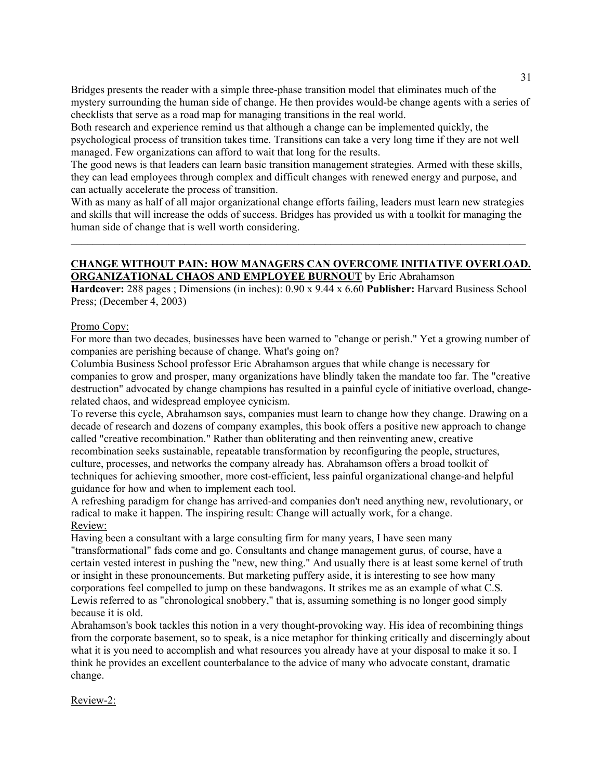Bridges presents the reader with a simple three-phase transition model that eliminates much of the mystery surrounding the human side of change. He then provides would-be change agents with a series of checklists that serve as a road map for managing transitions in the real world.

Both research and experience remind us that although a change can be implemented quickly, the psychological process of transition takes time. Transitions can take a very long time if they are not well managed. Few organizations can afford to wait that long for the results.

The good news is that leaders can learn basic transition management strategies. Armed with these skills, they can lead employees through complex and difficult changes with renewed energy and purpose, and can actually accelerate the process of transition.

With as many as half of all major organizational change efforts failing, leaders must learn new strategies and skills that will increase the odds of success. Bridges has provided us with a toolkit for managing the human side of change that is well worth considering.

 $\_$  , and the set of the set of the set of the set of the set of the set of the set of the set of the set of the set of the set of the set of the set of the set of the set of the set of the set of the set of the set of th

# **CHANGE WITHOUT PAIN: HOW MANAGERS CAN OVERCOME INITIATIVE OVERLOAD. ORGANIZATIONAL CHAOS AND EMPLOYEE BURNOUT** by Eric Abrahamson

**Hardcover:** 288 pages ; Dimensions (in inches): 0.90 x 9.44 x 6.60 **Publisher:** Harvard Business School Press; (December 4, 2003)

### Promo Copy:

For more than two decades, businesses have been warned to "change or perish." Yet a growing number of companies are perishing because of change. What's going on?

Columbia Business School professor Eric Abrahamson argues that while change is necessary for companies to grow and prosper, many organizations have blindly taken the mandate too far. The "creative destruction" advocated by change champions has resulted in a painful cycle of initiative overload, changerelated chaos, and widespread employee cynicism.

To reverse this cycle, Abrahamson says, companies must learn to change how they change. Drawing on a decade of research and dozens of company examples, this book offers a positive new approach to change called "creative recombination." Rather than obliterating and then reinventing anew, creative recombination seeks sustainable, repeatable transformation by reconfiguring the people, structures, culture, processes, and networks the company already has. Abrahamson offers a broad toolkit of techniques for achieving smoother, more cost-efficient, less painful organizational change-and helpful guidance for how and when to implement each tool.

A refreshing paradigm for change has arrived-and companies don't need anything new, revolutionary, or radical to make it happen. The inspiring result: Change will actually work, for a change. Review:

Having been a consultant with a large consulting firm for many years, I have seen many "transformational" fads come and go. Consultants and change management gurus, of course, have a certain vested interest in pushing the "new, new thing." And usually there is at least some kernel of truth or insight in these pronouncements. But marketing puffery aside, it is interesting to see how many corporations feel compelled to jump on these bandwagons. It strikes me as an example of what C.S. Lewis referred to as "chronological snobbery," that is, assuming something is no longer good simply because it is old.

Abrahamson's book tackles this notion in a very thought-provoking way. His idea of recombining things from the corporate basement, so to speak, is a nice metaphor for thinking critically and discerningly about what it is you need to accomplish and what resources you already have at your disposal to make it so. I think he provides an excellent counterbalance to the advice of many who advocate constant, dramatic change.

## Review-2: